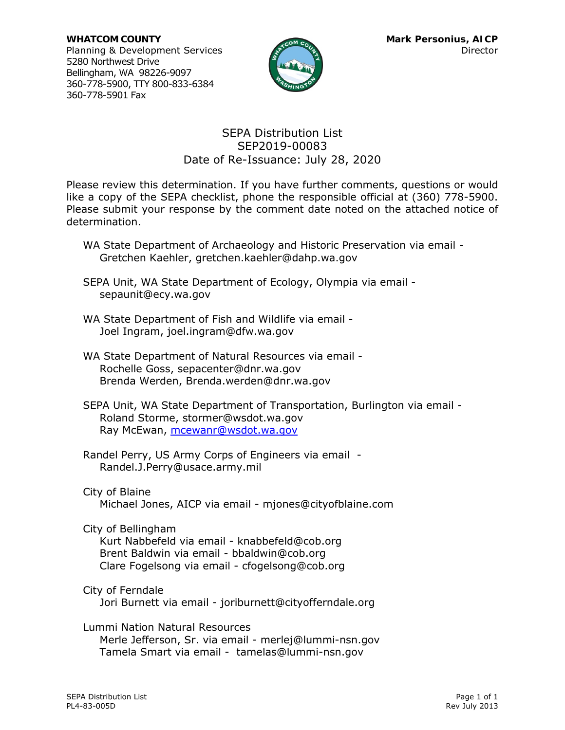

### SEPA Distribution List SEP2019-00083 Date of Re-Issuance: July 28, 2020

Please review this determination. If you have further comments, questions or would like a copy of the SEPA checklist, phone the responsible official at (360) 778-5900. Please submit your response by the comment date noted on the attached notice of determination.

- WA State Department of Archaeology and Historic Preservation via email Gretchen Kaehler, [gretchen.kaehler@dahp.wa.gov](mailto:gretchen.kaehler@dahp.wa.gov)
- SEPA Unit, WA State Department of Ecology, Olympia via email [sepaunit@ecy.wa.gov](mailto:sepaunit@ecy.wa.gov)
- WA State Department of Fish and Wildlife via email Joel Ingram, [joel.ingram@dfw.wa.gov](mailto:joel.ingram@dfw.wa.gov)
- WA State Department of Natural Resources via email Rochelle Goss, [sepacenter@dnr.wa.gov](mailto:sepacenter@dnr.wa.gov) Brenda Werden, [Brenda.werden@dnr.wa.gov](mailto:Brenda.werden@dnr.wa.gov)
- SEPA Unit, WA State Department of Transportation, Burlington via email Roland Storme, [stormer@wsdot.wa.gov](mailto:stormer@wsdot.wa.gov) Ray McEwan, [mcewanr@wsdot.wa.gov](mailto:mcewanr@wsdot.wa.gov)
- Randel Perry, US Army Corps of Engineers via email Randel.J.Perry@usace.army.mil

City of Blaine

Michael Jones, AICP via email - [mjones@cityofblaine.com](mailto:mjones@cityofblaine.com)

City of Bellingham

Kurt Nabbefeld via email - knabbefeld@cob.org Brent Baldwin via email - bbaldwin@cob.org Clare Fogelsong via email - cfogelsong@cob.org

City of Ferndale

Jori Burnett via email - [joriburnett@cityofferndale.org](mailto:joriburnett@cityofferndale.org)

Lummi Nation Natural Resources Merle Jefferson, Sr. via email - merlej@lummi-nsn.gov Tamela Smart via email - [tamelas@lummi-nsn.gov](mailto:tamelas@lummi-nsn.gov)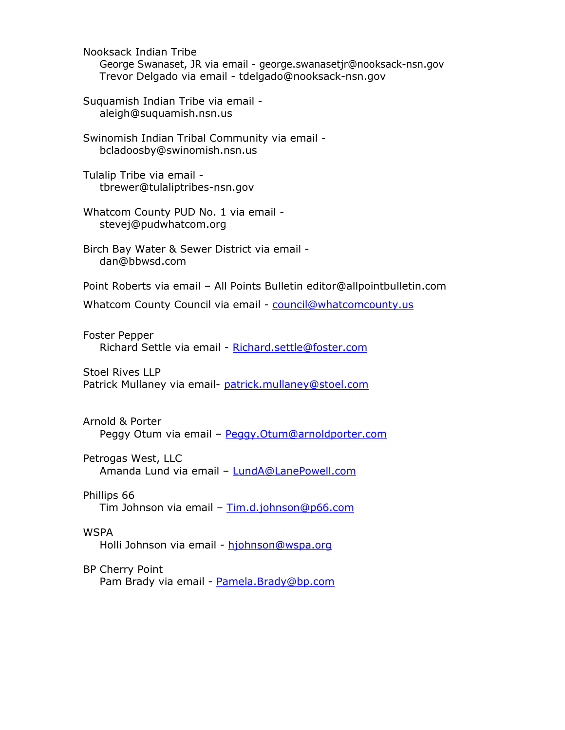Nooksack Indian Tribe

George Swanaset, JR via email - george.swanasetjr@nooksack-nsn.gov Trevor Delgado via email - [tdelgado@nooksack-nsn.gov](mailto:tdelgado@nooksack-nsn.gov)

Suquamish Indian Tribe via email [aleigh@suquamish.nsn.us](mailto:aleigh@suquamish.nsn.us)

Swinomish Indian Tribal Community via email [bcladoosby@swinomish.nsn.us](mailto:bcladoosby@swinomish.nsn.us)

Tulalip Tribe via email [tbrewer@tulaliptribes-nsn.gov](mailto:tbrewer@tulaliptribes-nsn.gov)

Whatcom County PUD No. 1 via email [stevej@pudwhatcom.org](mailto:stevej@pudwhatcom.org)

Birch Bay Water & Sewer District via email [dan@bbwsd.com](mailto:dan@bbwsd.com)

Point Roberts via email – All Points Bulletin [editor@allpointbulletin.com](mailto:editor@allpointbulletin.com)

Whatcom County Council via email - [council@whatcomcounty.us](mailto:council@whatcomcounty.us)

Foster Pepper Richard Settle via email - [Richard.settle@foster.com](mailto:Richard.settle@foster.com) 

Stoel Rives LLP Patrick Mullaney via email- [patrick.mullaney@stoel.com](mailto:patrick.mullaney@stoel.com)

Arnold & Porter Peggy Otum via email - [Peggy.Otum@arnoldporter.com](mailto:Peggy.Otum@arnoldporter.com)

Petrogas West, LLC Amanda Lund via email - [LundA@LanePowell.com](mailto:LundA@LanePowell.com)

Phillips 66 Tim Johnson via email – [Tim.d.johnson@p66.com](mailto:Tim.d.johnson@p66.com)

**WSPA** Holli Johnson via email - [hjohnson@wspa.org](mailto:hjohnson@wspa.org)

BP Cherry Point Pam Brady via email - [Pamela.Brady@bp.com](mailto:Pamela.Brady@bp.com)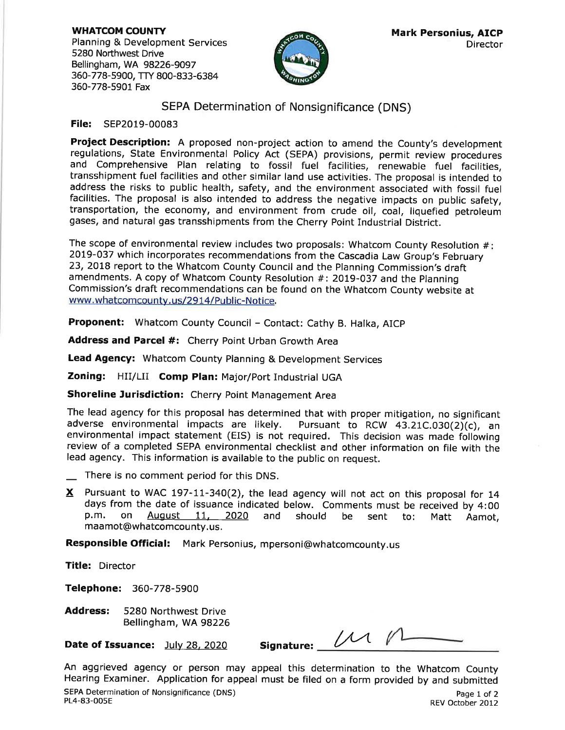**WHATCOM COUNTY** Planning & Development Services 5280 Northwest Drive Bellingham, WA 98226-9097 360-778-5900, TTY 800-833-6384 360-778-5901 Fax



### SEPA Determination of Nonsignificance (DNS)

#### File: SEP2019-00083

Project Description: A proposed non-project action to amend the County's development regulations, State Environmental Policy Act (SEPA) provisions, permit review procedures and Comprehensive Plan relating to fossil fuel facilities, renewable fuel facilities, transshipment fuel facilities and other similar land use activities. The proposal is intended to address the risks to public health, safety, and the environment associated with fossil fuel facilities. The proposal is also intended to address the negative impacts on public safety, transportation, the economy, and environment from crude oil, coal, liquefied petroleum gases, and natural gas transshipments from the Cherry Point Industrial District.

The scope of environmental review includes two proposals: Whatcom County Resolution  $#$ : 2019-037 which incorporates recommendations from the Cascadia Law Group's February 23, 2018 report to the Whatcom County Council and the Planning Commission's draft amendments. A copy of Whatcom County Resolution #: 2019-037 and the Planning Commission's draft recommendations can be found on the Whatcom County website at www.whatcomcounty.us/2914/Public-Notice.

Proponent: Whatcom County Council - Contact: Cathy B. Halka, AICP

Address and Parcel #: Cherry Point Urban Growth Area

**Lead Agency:** Whatcom County Planning & Development Services

Zoning: HII/LII Comp Plan: Major/Port Industrial UGA

Shoreline Jurisdiction: Cherry Point Management Area

The lead agency for this proposal has determined that with proper mitigation, no significant adverse environmental impacts are likely. Pursuant to RCW 43.21C.030(2)(c), an environmental impact statement (EIS) is not required. This decision was made following review of a completed SEPA environmental checklist and other information on file with the lead agency. This information is available to the public on request.

- There is no comment period for this DNS.
- X Pursuant to WAC 197-11-340(2), the lead agency will not act on this proposal for 14 days from the date of issuance indicated below. Comments must be received by 4:00 p.m. on August 11, 2020 and should be sent to: Matt Aamot, maamot@whatcomcounty.us.

Responsible Official: Mark Personius, mpersoni@whatcomcounty.us

Title: Director

Telephone: 360-778-5900

5280 Northwest Drive **Address:** Bellingham, WA 98226

Date of Issuance: July 28, 2020

Signature:  $\begin{matrix} \mathcal{U} & \mathcal{U} \end{matrix}$ 

An aggrieved agency or person may appeal this determination to the Whatcom County Hearing Examiner. Application for appeal must be filed on a form provided by and submitted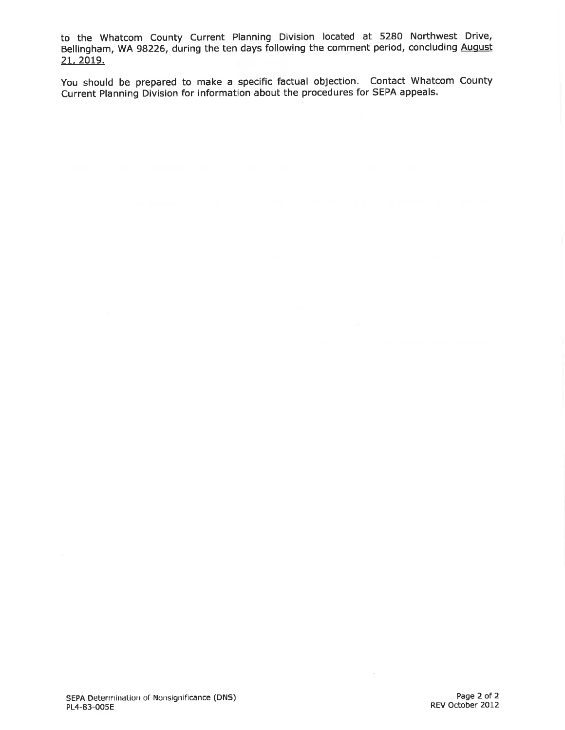to the Whatcom County Current Planning Division located at 5280 Northwest Drive, Bellingham, WA 98226, during the ten days following the comment period, concluding August 21, 2019.

You should be prepared to make a specific factual objection. Contact Whatcom County Current Planning Division for information about the procedures for SEPA appeals.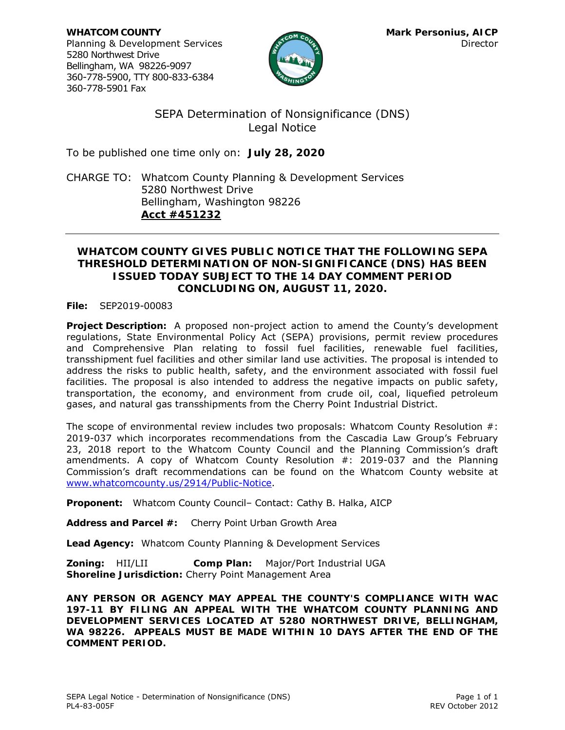**WHATCOM COUNTY Mark Personius, AICP** Planning & Development Services and the contractor of the Director Director 5280 Northwest Drive Bellingham, WA 98226-9097 360-778-5900, TTY 800-833-6384 360-778-5901 Fax



SEPA Determination of Nonsignificance (DNS) Legal Notice

To be published one time only on: **July 28, 2020**

CHARGE TO: Whatcom County Planning & Development Services 5280 Northwest Drive Bellingham, Washington 98226 **Acct #451232**

### **WHATCOM COUNTY GIVES PUBLIC NOTICE THAT THE FOLLOWING SEPA THRESHOLD DETERMINATION OF NON-SIGNIFICANCE (DNS) HAS BEEN ISSUED TODAY SUBJECT TO THE 14 DAY COMMENT PERIOD CONCLUDING ON, AUGUST 11, 2020.**

**File:** SEP2019-00083

**Project Description:** A proposed non-project action to amend the County's development regulations, State Environmental Policy Act (SEPA) provisions, permit review procedures and Comprehensive Plan relating to fossil fuel facilities, renewable fuel facilities, transshipment fuel facilities and other similar land use activities. The proposal is intended to address the risks to public health, safety, and the environment associated with fossil fuel facilities. The proposal is also intended to address the negative impacts on public safety, transportation, the economy, and environment from crude oil, coal, liquefied petroleum gases, and natural gas transshipments from the Cherry Point Industrial District.

The scope of environmental review includes two proposals: Whatcom County Resolution #: 2019-037 which incorporates recommendations from the Cascadia Law Group's February 23, 2018 report to the Whatcom County Council and the Planning Commission's draft amendments. A copy of Whatcom County Resolution #: 2019-037 and the Planning Commission's draft recommendations can be found on the Whatcom County website at [www.whatcomcounty.us/2914/Public-Notice.](http://www.whatcomcounty.us/2914/Public-Notice)

**Proponent:** Whatcom County Council– Contact: Cathy B. Halka, AICP

**Address and Parcel #:** Cherry Point Urban Growth Area

**Lead Agency:** Whatcom County Planning & Development Services

**Zoning:** HII/LII **Comp Plan:** Major/Port Industrial UGA **Shoreline Jurisdiction:** Cherry Point Management Area

**ANY PERSON OR AGENCY MAY APPEAL THE COUNTY'S COMPLIANCE WITH WAC 197-11 BY FILING AN APPEAL WITH THE WHATCOM COUNTY PLANNING AND DEVELOPMENT SERVICES LOCATED AT 5280 NORTHWEST DRIVE, BELLINGHAM, WA 98226. APPEALS MUST BE MADE WITHIN 10 DAYS AFTER THE END OF THE COMMENT PERIOD.**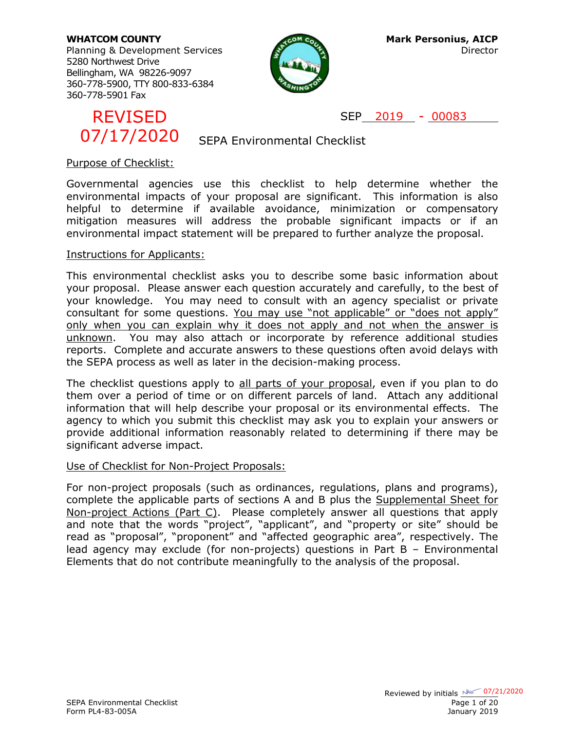Planning & Development Services and Director Director 5280 Northwest Drive Bellingham, WA 98226-9097 360-778-5900, TTY 800-833-6384 360-778-5901 Fax





SEP 2019 - 00083

SEPA Environmental Checklist

### Purpose of Checklist:

Governmental agencies use this checklist to help determine whether the environmental impacts of your proposal are significant. This information is also helpful to determine if available avoidance, minimization or compensatory mitigation measures will address the probable significant impacts or if an environmental impact statement will be prepared to further analyze the proposal.

### Instructions for Applicants:

This environmental checklist asks you to describe some basic information about your proposal. Please answer each question accurately and carefully, to the best of your knowledge. You may need to consult with an agency specialist or private consultant for some questions. You may use "not applicable" or "does not apply" only when you can explain why it does not apply and not when the answer is unknown. You may also attach or incorporate by reference additional studies reports. Complete and accurate answers to these questions often avoid delays with the SEPA process as well as later in the decision-making process. EPITSED<br>
CRUSTED CONSTRATION SEP ACTION SEP AND CODES CONSTRATION DURIES SOVERNMENT ESCONDUNITY (SOVERNMENT SOVERNMENT SOVERNMENT IS USED AND MONETATION ON CONSTRATION CONSTRATION (THE SUPPORT OF THE CONSTRATION CONSTRATIO

The checklist questions apply to all parts of your proposal, even if you plan to do them over a period of time or on different parcels of land. Attach any additional information that will help describe your proposal or its environmental effects. The agency to which you submit this checklist may ask you to explain your answers or provide additional information reasonably related to determining if there may be significant adverse impact.

### Use of Checklist for Non-Project Proposals:

For non-project proposals (such as ordinances, regulations, plans and programs), complete the applicable parts of sections A and B plus the Supplemental Sheet for Non-project Actions (Part C). Please completely answer all questions that apply and note that the words "project", "applicant", and "property or site" should be read as "proposal", "proponent" and "affected geographic area", respectively. The lead agency may exclude (for non-projects) questions in Part B – Environmental Elements that do not contribute meaningfully to the analysis of the proposal.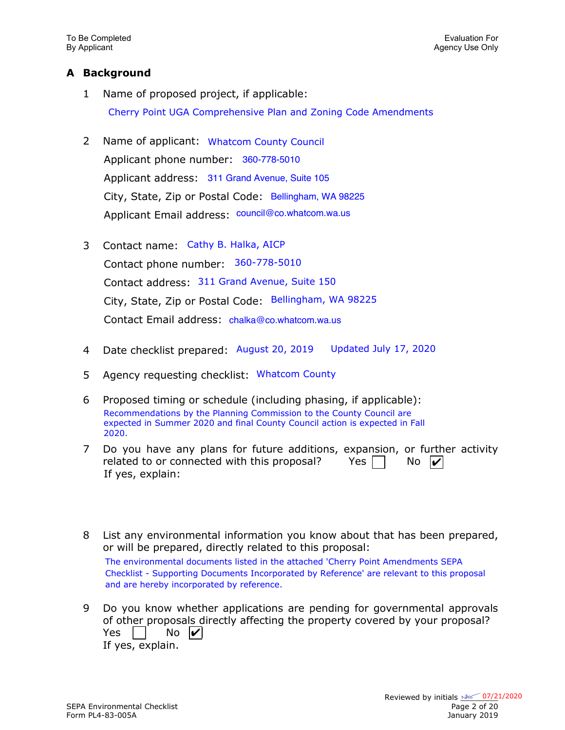### **A Background**

- 1 Name of proposed project, if applicable: Cherry Point UGA Comprehensive Plan and Zoning Code Amendments
- 2 Name of applicant: Whatcom County Council Applicant phone number: 360-778-5010 Applicant address: 311 Grand Avenue, Suite 105 City, State, Zip or Postal Code: Bellingham, WA 98225 Applicant Email address: council@co.whatcom.wa.us
- 3 Contact name: Cathy B. Halka, AICP Contact phone number: 360-778-5010 Contact address: 311 Grand Avenue, Suite 150 City, State, Zip or Postal Code: Bellingham, WA 98225 Contact Email address: chalka@co.whatcom.wa.us
- 4 Date checklist prepared: August 20, 2019 Updated July 17, 2020
- 5 Agency requesting checklist: Whatcom County
- 6 Proposed timing or schedule (including phasing, if applicable): Recommendations by the Planning Commission to the County Council are expected in Summer 2020 and final County Council action is expected in Fall 2020.
- 7 Do you have any plans for future additions, expansion, or further activity related to or connected with this proposal? Yes If yes, explain:  $No$
- 8 List any environmental information you know about that has been prepared, or will be prepared, directly related to this proposal: The environmental documents listed in the attached 'Cherry Point Amendments SEPA Checklist - Supporting Documents Incorporated by Reference' are relevant to this proposal and are hereby incorporated by reference.
- 9 Do you know whether applications are pending for governmental approvals of other proposals directly affecting the property covered by your proposal? Yes l If yes, explain.  $\overline{N}$   $\overline{V}$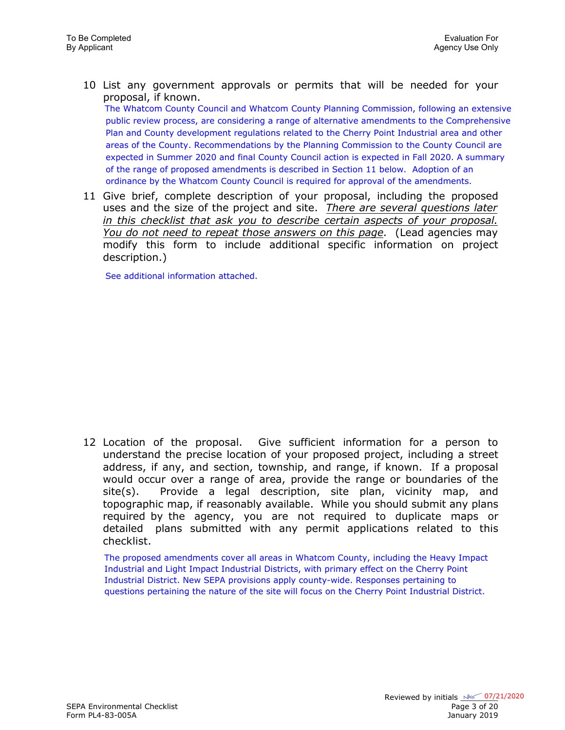10 List any government approvals or permits that will be needed for your proposal, if known.

The Whatcom County Council and Whatcom County Planning Commission, following an extensive public review process, are considering a range of alternative amendments to the Comprehensive Plan and County development regulations related to the Cherry Point Industrial area and other areas of the County. Recommendations by the Planning Commission to the County Council are expected in Summer 2020 and final County Council action is expected in Fall 2020. A summary of the range of proposed amendments is described in Section 11 below. Adoption of an ordinance by the Whatcom County Council is required for approval of the amendments.

11 Give brief, complete description of your proposal, including the proposed uses and the size of the project and site. *There are several questions later in this checklist that ask you to describe certain aspects of your proposal. You do not need to repeat those answers on this page.* (Lead agencies may modify this form to include additional specific information on project description.)

See additional information attached.

12 Location of the proposal. Give sufficient information for a person to understand the precise location of your proposed project, including a street address, if any, and section, township, and range, if known. If a proposal would occur over a range of area, provide the range or boundaries of the site(s). Provide a legal description, site plan, vicinity map, and topographic map, if reasonably available. While you should submit any plans required by the agency, you are not required to duplicate maps or detailed plans submitted with any permit applications related to this checklist.

The proposed amendments cover all areas in Whatcom County, including the Heavy Impact Industrial and Light Impact Industrial Districts, with primary effect on the Cherry Point Industrial District. New SEPA provisions apply county-wide. Responses pertaining to questions pertaining the nature of the site will focus on the Cherry Point Industrial District.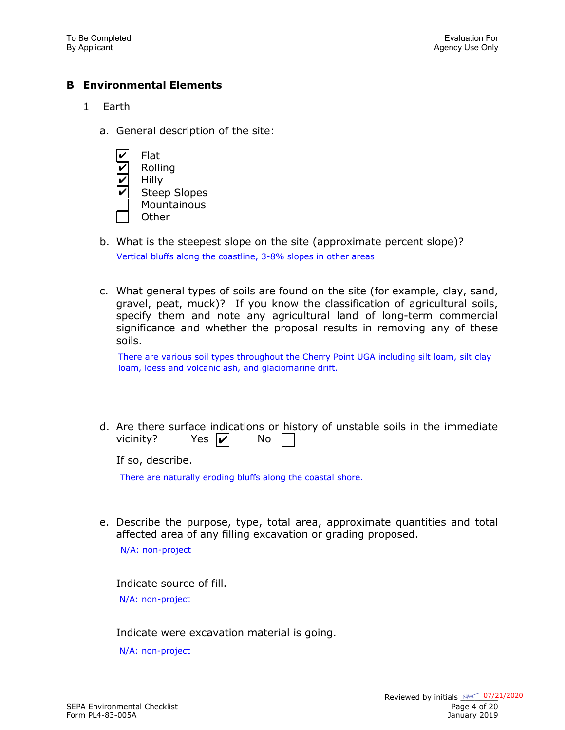### **B Environmental Elements**

- 1 Earth
	- a. General description of the site:
		- Flat ✔
		- Rolling ✔
		- Hilly ✔
		- Steep Slopes ✔
		- **Mountainous**
		- **Other**
	- b. What is the steepest slope on the site (approximate percent slope)? Vertical bluffs along the coastline, 3-8% slopes in other areas
	- c. What general types of soils are found on the site (for example, clay, sand, gravel, peat, muck)? If you know the classification of agricultural soils, specify them and note any agricultural land of long-term commercial significance and whether the proposal results in removing any of these soils.

There are various soil types throughout the Cherry Point UGA including silt loam, silt clay loam, loess and volcanic ash, and glaciomarine drift.

d. Are there surface indications or history of unstable soils in the immediate vicinity? Yes  $|\boldsymbol{v}|$  No

If so, describe.

There are naturally eroding bluffs along the coastal shore.

e. Describe the purpose, type, total area, approximate quantities and total affected area of any filling excavation or grading proposed.

N/A: non-project

Indicate source of fill. N/A: non-project

Indicate were excavation material is going.

N/A: non-project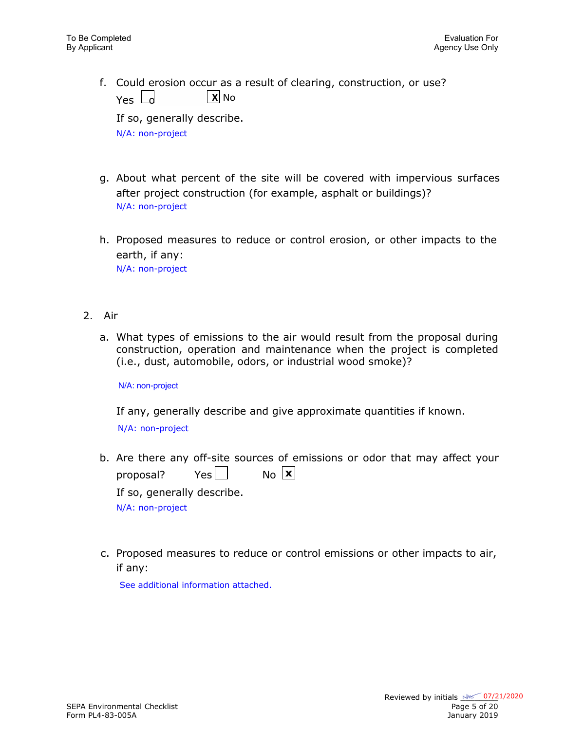f. Could erosion occur as a result of clearing, construction, or use?  $Y_{PS}$   $\vert$  d  $\vert$  **X** No

If so, generally describe. N/A: non-project

- g. About what percent of the site will be covered with impervious surfaces after project construction (for example, asphalt or buildings)? N/A: non-project
- h. Proposed measures to reduce or control erosion, or other impacts to the earth, if any: N/A: non-project
- 2. Air
	- a. What types of emissions to the air would result from the proposal during construction, operation and maintenance when the project is completed (i.e., dust, automobile, odors, or industrial wood smoke)?

N/A: non-project

If any, generally describe and give approximate quantities if known.

N/A: non-project

- b. Are there any off-site sources of emissions or odor that may affect your proposal? Yes  $\Box$ If so, generally describe. N/A: non-project  $N<sub>0</sub>$   $\overline{\mathbf{x}}$
- c. Proposed measures to reduce or control emissions or other impacts to air, if any:

See additional information attached.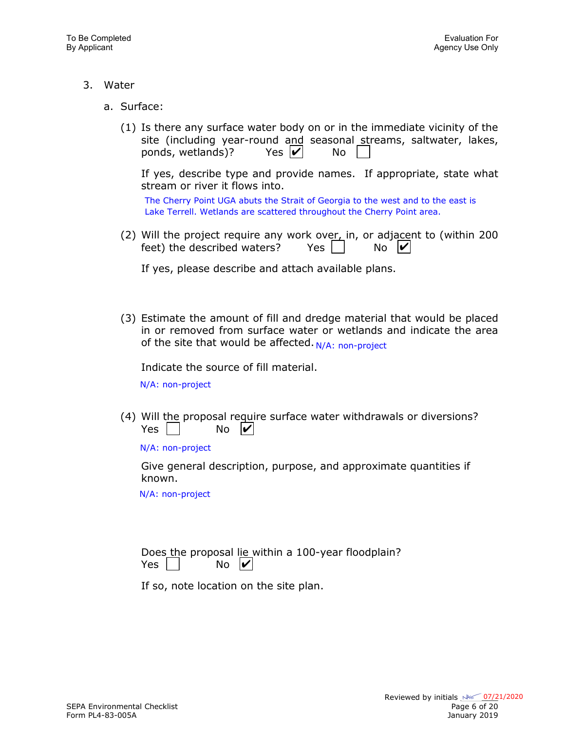- 3. Water
	- a. Surface:
		- (1) Is there any surface water body on or in the immediate vicinity of the site (including year-round and seasonal streams, saltwater, lakes, ponds, wetlands)? Yes  $|v|$  No Yes  $|v|$

If yes, describe type and provide names. If appropriate, state what stream or river it flows into.

The Cherry Point UGA abuts the Strait of Georgia to the west and to the east is Lake Terrell. Wetlands are scattered throughout the Cherry Point area.

(2) Will the project require any work over, in, or adjacent to (within 200) feet) the described waters? Yes No  $\overline{N}$   $\overline{V}$ 

If yes, please describe and attach available plans.

(3) Estimate the amount of fill and dredge material that would be placed in or removed from surface water or wetlands and indicate the area of the site that would be affected. N/A: non-project

Indicate the source of fill material.

N/A: non-project

(4) Will the proposal require surface water withdrawals or diversions? Yes I No  $\boldsymbol{V}$ 

N/A: non-project

Give general description, purpose, and approximate quantities if known.

N/A: non-project

|            |                     |  |  | Does the proposal lie within a 100-year floodplain? |
|------------|---------------------|--|--|-----------------------------------------------------|
| Yes $\Box$ | $No$ $\overline{V}$ |  |  |                                                     |

If so, note location on the site plan.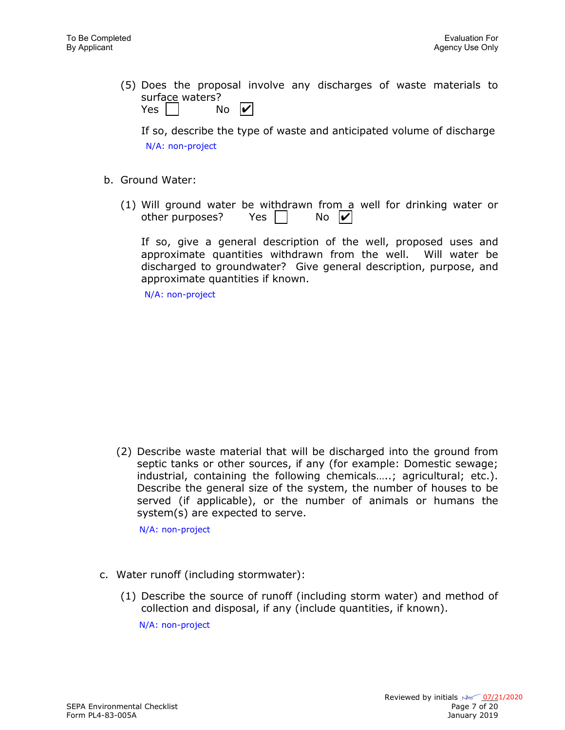(5) Does the proposal involve any discharges of waste materials to surface waters?

| Yes |  | No | $ \boldsymbol{v} $ |
|-----|--|----|--------------------|
|-----|--|----|--------------------|

If so, describe the type of waste and anticipated volume of discharge N/A: non-project

- b. Ground Water:
	- (1) Will ground water be withdrawn from a well for drinking water or other purposes? Yes  $\vert \ \vert$  $\overline{N}$   $\overline{V}$

If so, give a general description of the well, proposed uses and approximate quantities withdrawn from the well. Will water be discharged to groundwater? Give general description, purpose, and approximate quantities if known.

N/A: non-project

(2) Describe waste material that will be discharged into the ground from septic tanks or other sources, if any (for example: Domestic sewage; industrial, containing the following chemicals.....; agricultural; etc.). Describe the general size of the system, the number of houses to be served (if applicable), or the number of animals or humans the system(s) are expected to serve.

N/A: non-project

- c. Water runoff (including stormwater):
	- (1) Describe the source of runoff (including storm water) and method of collection and disposal, if any (include quantities, if known).

N/A: non-project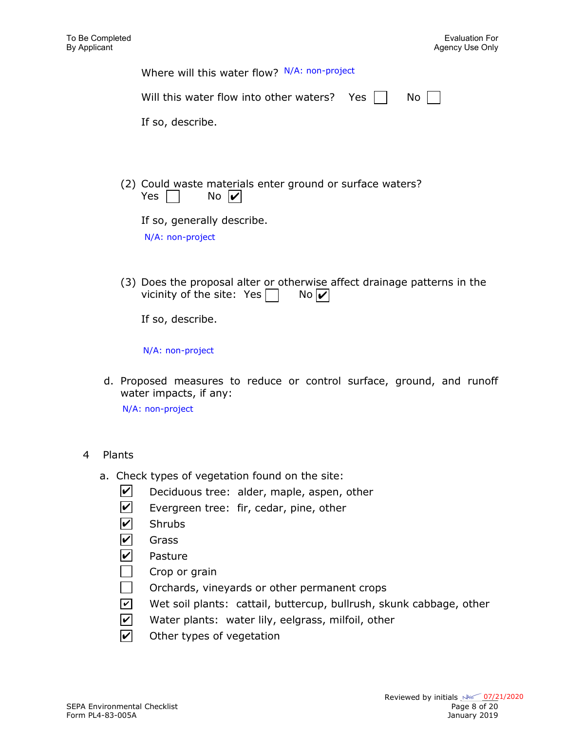| Where will this water flow? N/A: non-project                                                                  |
|---------------------------------------------------------------------------------------------------------------|
| Will this water flow into other waters? Yes<br>No                                                             |
| If so, describe.                                                                                              |
|                                                                                                               |
| (2) Could waste materials enter ground or surface waters?<br>No $\boldsymbol{v}$<br>Yes                       |
| If so, generally describe.<br>N/A: non-project                                                                |
| (3) Does the proposal alter or otherwise affect drainage patterns in the<br>vicinity of the site: Yes<br>No l |

If so, describe.

N/A: non-project

d. Proposed measures to reduce or control surface, ground, and runoff water impacts, if any:

N/A: non-project

### 4 Plants

- a. Check types of vegetation found on the site:
	- Deciduous tree: alder, maple, aspen, other  $\vert\bm{\mathsf{v}}\vert$
	- Evergreen tree: fir, cedar, pine, other  $\blacktriangledown$
	- **Shrubs**  $\overline{\mathcal{V}}$
	- Grass  $\boldsymbol{\mathsf{v}}$
	- Pasture  $\mathbf{v}$
	- Crop or grain
	- Orchards, vineyards or other permanent crops
	- Wet soil plants: cattail, buttercup, bullrush, skunk cabbage, other  $\overline{\mathcal{M}}$
	- Water plants: water lily, eelgrass, milfoil, other  $|v|$
	- Other types of vegetation  $|{\boldsymbol{v}}|$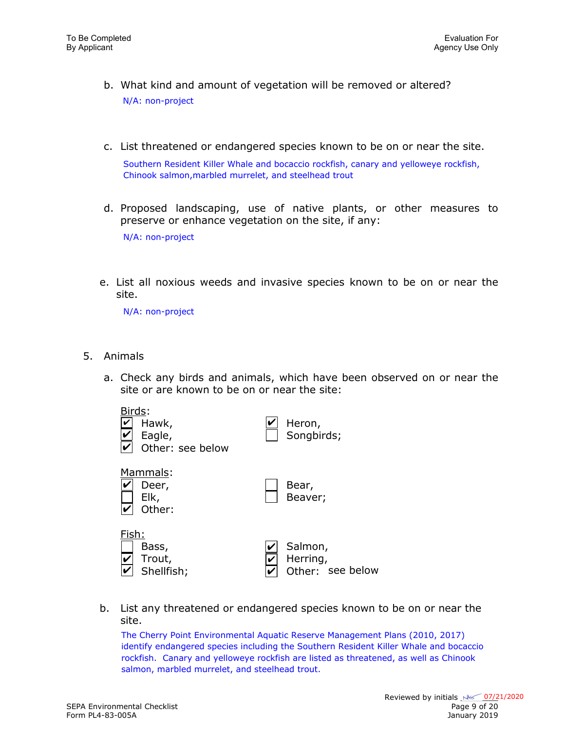- b. What kind and amount of vegetation will be removed or altered? N/A: non-project
- c. List threatened or endangered species known to be on or near the site.

Southern Resident Killer Whale and bocaccio rockfish, canary and yelloweye rockfish, Chinook salmon,marbled murrelet, and steelhead trout

- d. Proposed landscaping, use of native plants, or other measures to preserve or enhance vegetation on the site, if any: N/A: non-project
- e. List all noxious weeds and invasive species known to be on or near the site.

N/A: non-project

- 5. Animals
	- a. Check any birds and animals, which have been observed on or near the site or are known to be on or near the site:



b. List any threatened or endangered species known to be on or near the site.

The Cherry Point Environmental Aquatic Reserve Management Plans (2010, 2017) identify endangered species including the Southern Resident Killer Whale and bocaccio rockfish. Canary and yelloweye rockfish are listed as threatened, as well as Chinook salmon, marbled murrelet, and steelhead trout.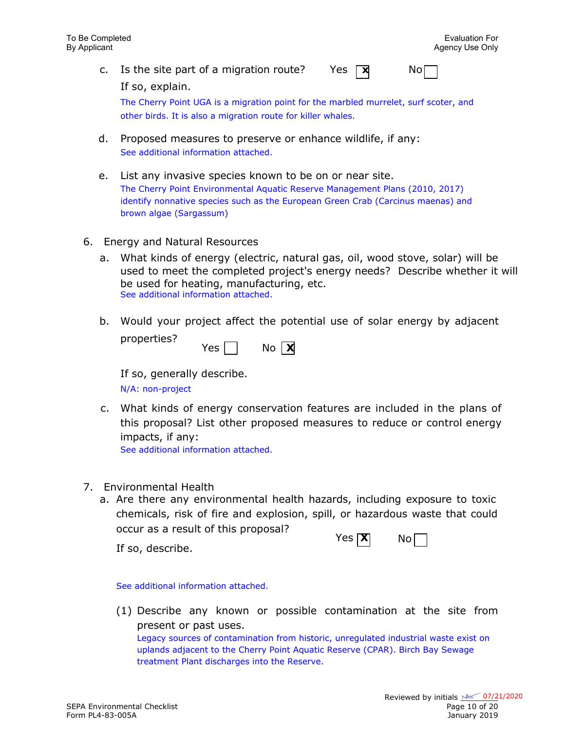c. Is the site part of a migration route? Yes  $\nabla$  No

If so, explain.

The Cherry Point UGA is a migration point for the marbled murrelet, surf scoter, and other birds. It is also a migration route for killer whales.

- d. Proposed measures to preserve or enhance wildlife, if any: See additional information attached.
- e. List any invasive species known to be on or near site. The Cherry Point Environmental Aquatic Reserve Management Plans (2010, 2017) identify nonnative species such as the European Green Crab (Carcinus maenas) and brown algae (Sargassum)
- 6. Energy and Natural Resources
	- a. What kinds of energy (electric, natural gas, oil, wood stove, solar) will be used to meet the completed project's energy needs? Describe whether it will be used for heating, manufacturing, etc. See additional information attached.
	- b. Would your project affect the potential use of solar energy by adjacent properties?

| Yes. | No | X<br>I |
|------|----|--------|
|------|----|--------|

If so, generally describe.

N/A: non-project

c. What kinds of energy conservation features are included in the plans of this proposal? List other proposed measures to reduce or control energy impacts, if any:

See additional information attached.

- 7. Environmental Health
	- a. Are there any environmental health hazards, including exposure to toxic chemicals, risk of fire and explosion, spill, or hazardous waste that could occur as a result of this proposal?

If so, describe.

| ヽ  | I) | N۵ |  |
|----|----|----|--|
| ءد | ν. |    |  |

See additional information attached.

(1) Describe any known or possible contamination at the site from present or past uses.

Legacy sources of contamination from historic, unregulated industrial waste exist on uplands adjacent to the Cherry Point Aquatic Reserve (CPAR). Birch Bay Sewage treatment Plant discharges into the Reserve.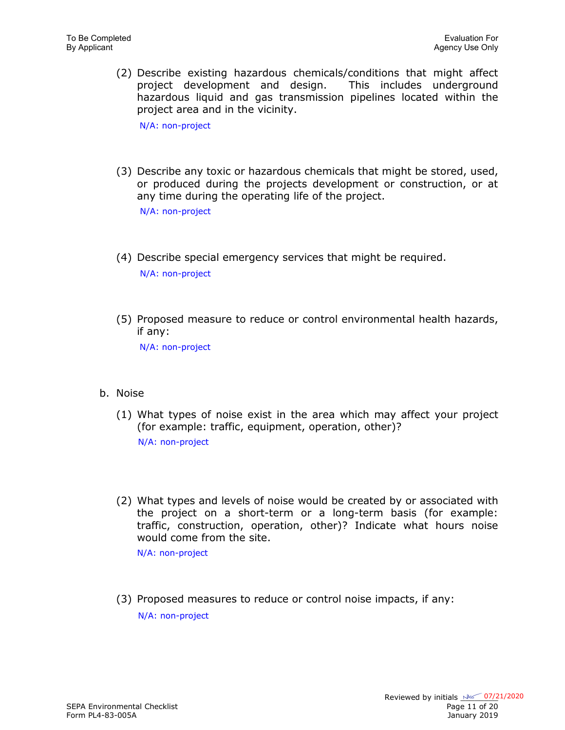(2) Describe existing hazardous chemicals/conditions that might affect project development and design. This includes underground hazardous liquid and gas transmission pipelines located within the project area and in the vicinity.

N/A: non-project

(3) Describe any toxic or hazardous chemicals that might be stored, used, or produced during the projects development or construction, or at any time during the operating life of the project.

N/A: non-project

- (4) Describe special emergency services that might be required. N/A: non-project
- (5) Proposed measure to reduce or control environmental health hazards, if any:

N/A: non-project

- b. Noise
	- (1) What types of noise exist in the area which may affect your project (for example: traffic, equipment, operation, other)? N/A: non-project
	- (2) What types and levels of noise would be created by or associated with the project on a short-term or a long-term basis (for example: traffic, construction, operation, other)? Indicate what hours noise would come from the site.

N/A: non-project

(3) Proposed measures to reduce or control noise impacts, if any: N/A: non-project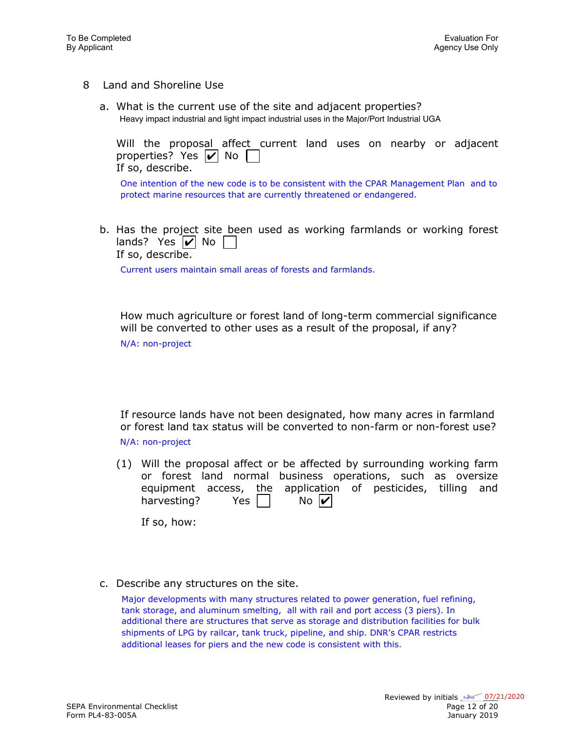- 8 Land and Shoreline Use
	- a. What is the current use of the site and adjacent properties? Heavy impact industrial and light impact industrial uses in the Major/Port Industrial UGA

|  | Will the proposal affect current land uses on nearby or adjacent |  |  |  |  |
|--|------------------------------------------------------------------|--|--|--|--|
|  | properties? Yes $\triangledown$ No $\Box$                        |  |  |  |  |
|  | If so, describe.                                                 |  |  |  |  |

One intention of the new code is to be consistent with the CPAR Management Plan and to protect marine resources that are currently threatened or endangered.

b. Has the project site been used as working farmlands or working forest lands? Yes  $|v|$  No

If so, describe.

Current users maintain small areas of forests and farmlands.

How much agriculture or forest land of long-term commercial significance will be converted to other uses as a result of the proposal, if any?

N/A: non-project

If resource lands have not been designated, how many acres in farmland or forest land tax status will be converted to non-farm or non-forest use? N/A: non-project

(1) Will the proposal affect or be affected by surrounding working farm or forest land normal business operations, such as oversize equipment access, the application of pesticides, tilling and harvesting? Yes  $\vert \ \vert$  $No$   $|V|$ 

If so, how:

c. Describe any structures on the site.

Major developments with many structures related to power generation, fuel refining, tank storage, and aluminum smelting, all with rail and port access (3 piers). In additional there are structures that serve as storage and distribution facilities for bulk shipments of LPG by railcar, tank truck, pipeline, and ship. DNR's CPAR restricts additional leases for piers and the new code is consistent with this.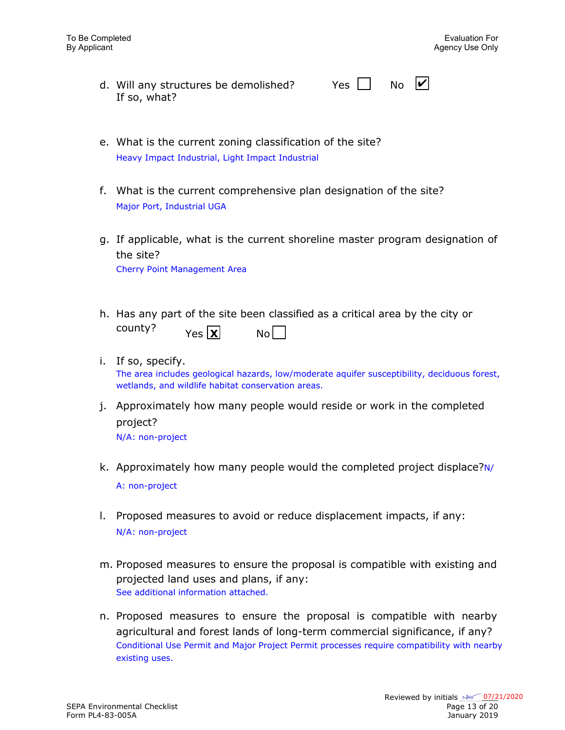| d. Will any structures be demolished? | Yes $\Box$ No $\vert\mathbf{v}\vert$ |  |
|---------------------------------------|--------------------------------------|--|
| If so, what?                          |                                      |  |

- e. What is the current zoning classification of the site? Heavy Impact Industrial, Light Impact Industrial
- f. What is the current comprehensive plan designation of the site? Major Port, Industrial UGA
- g. If applicable, what is the current shoreline master program designation of the site?

Cherry Point Management Area

- h. Has any part of the site been classified as a critical area by the city or county?  $Yes \overline{\mathbf{X}}$  No
- i. If so, specify. The area includes geological hazards, low/moderate aquifer susceptibility, deciduous forest, wetlands, and wildlife habitat conservation areas.
- j. Approximately how many people would reside or work in the completed project?

N/A: non-project

- k. Approximately how many people would the completed project displace?N/ A: non-project
- l. Proposed measures to avoid or reduce displacement impacts, if any: N/A: non-project
- m. Proposed measures to ensure the proposal is compatible with existing and projected land uses and plans, if any: See additional information attached.
- n. Proposed measures to ensure the proposal is compatible with nearby agricultural and forest lands of long-term commercial significance, if any? Conditional Use Permit and Major Project Permit processes require compatibility with nearby existing uses.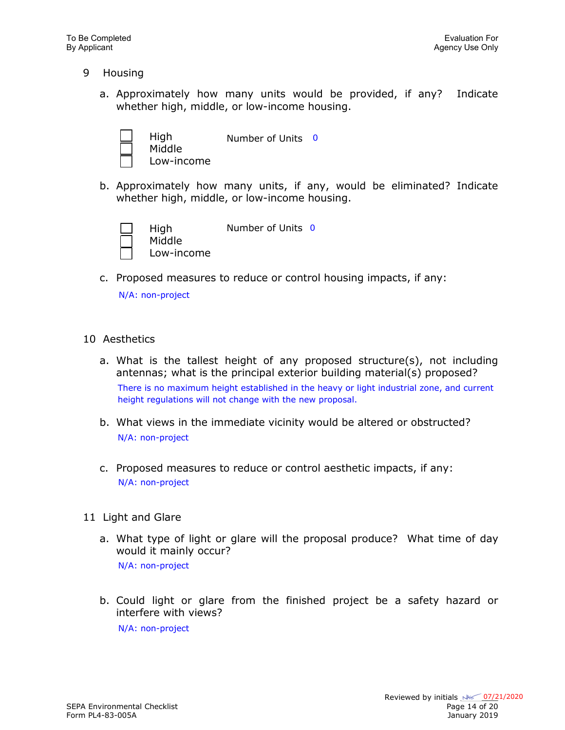- 9 Housing
	- a. Approximately how many units would be provided, if any? Indicate whether high, middle, or low-income housing.



Number of Units 0

Low-income

b. Approximately how many units, if any, would be eliminated? Indicate whether high, middle, or low-income housing.



Number of Units 0

- Low-income
- c. Proposed measures to reduce or control housing impacts, if any:

N/A: non-project

### 10 Aesthetics

- a. What is the tallest height of any proposed structure(s), not including antennas; what is the principal exterior building material(s) proposed? There is no maximum height established in the heavy or light industrial zone, and current height regulations will not change with the new proposal.
- b. What views in the immediate vicinity would be altered or obstructed? N/A: non-project
- c. Proposed measures to reduce or control aesthetic impacts, if any: N/A: non-project
- 11 Light and Glare
	- a. What type of light or glare will the proposal produce? What time of day would it mainly occur? N/A: non-project
	- b. Could light or glare from the finished project be a safety hazard or interfere with views?

N/A: non-project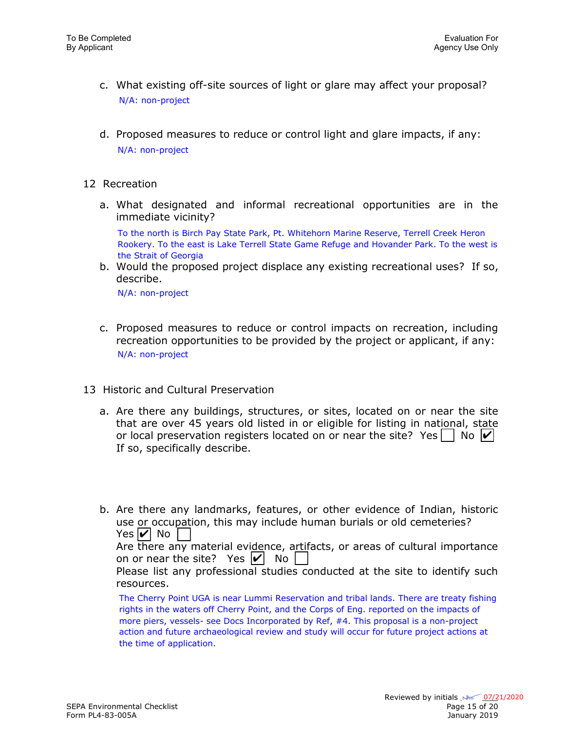- c. What existing off-site sources of light or glare may affect your proposal? N/A: non-project
- d. Proposed measures to reduce or control light and glare impacts, if any: N/A: non-project
- 12 Recreation
	- a. What designated and informal recreational opportunities are in the immediate vicinity?

To the north is Birch Pay State Park, Pt. Whitehorn Marine Reserve, Terrell Creek Heron Rookery. To the east is Lake Terrell State Game Refuge and Hovander Park. To the west is the Strait of Georgia

b. Would the proposed project displace any existing recreational uses? If so, describe.

N/A: non-project

- c. Proposed measures to reduce or control impacts on recreation, including recreation opportunities to be provided by the project or applicant, if any: N/A: non-project
- 13 Historic and Cultural Preservation
	- a. Are there any buildings, structures, or sites, located on or near the site that are over 45 years old listed in or eligible for listing in national, state or local preservation registers located on or near the site? Yes  $\vert \ \vert$  No  $\vert \nu \vert$ If so, specifically describe.
	- b. Are there any landmarks, features, or other evidence of Indian, historic use or occupation, this may include human burials or old cemeteries? Yes  $|v|$  No  $|$ Are there any material evidence, artifacts, or areas of cultural importance on or near the site? Yes  $|v|$  No Please list any professional studies conducted at the site to identify such resources. The Cherry Point UGA is near Lummi Reservation and tribal lands. There are treaty fishing

rights in the waters off Cherry Point, and the Corps of Eng. reported on the impacts of more piers, vessels- see Docs Incorporated by Ref, #4. This proposal is a non-project action and future archaeological review and study will occur for future project actions at the time of application.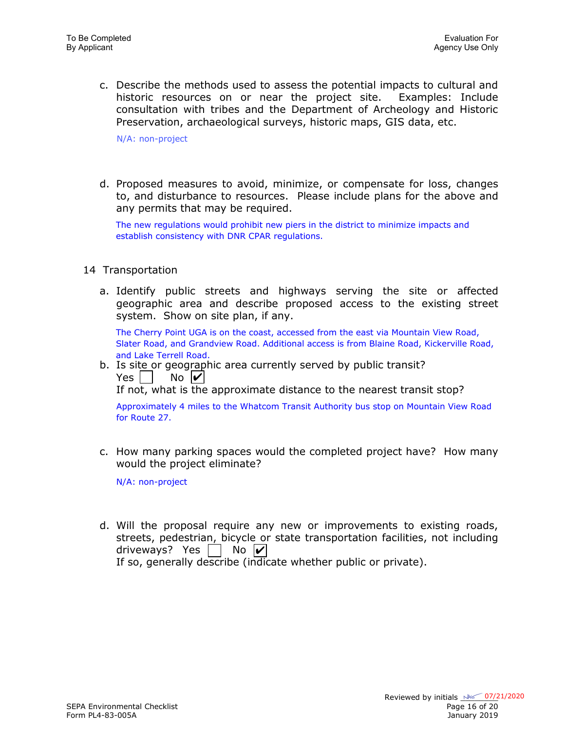c. Describe the methods used to assess the potential impacts to cultural and historic resources on or near the project site. Examples: Include consultation with tribes and the Department of Archeology and Historic Preservation, archaeological surveys, historic maps, GIS data, etc.

N/A: non-project

d. Proposed measures to avoid, minimize, or compensate for loss, changes to, and disturbance to resources. Please include plans for the above and any permits that may be required.

The new regulations would prohibit new piers in the district to minimize impacts and establish consistency with DNR CPAR regulations.

- 14 Transportation
	- a. Identify public streets and highways serving the site or affected geographic area and describe proposed access to the existing street system. Show on site plan, if any.

The Cherry Point UGA is on the coast, accessed from the east via Mountain View Road, Slater Road, and Grandview Road. Additional access is from Blaine Road, Kickerville Road, and Lake Terrell Road.

b. Is site or geographic area currently served by public transit? Yes  $\vert \ \vert$  $\overline{N}$   $\overline{V}$ 

If not, what is the approximate distance to the nearest transit stop?

Approximately 4 miles to the Whatcom Transit Authority bus stop on Mountain View Road for Route 27.

c. How many parking spaces would the completed project have? How many would the project eliminate?

N/A: non-project

d. Will the proposal require any new or improvements to existing roads, streets, pedestrian, bicycle or state transportation facilities, not including driveways? Yes  $\vert \ \vert$  No  $\vert \nu \vert$ 

If so, generally describe (indicate whether public or private).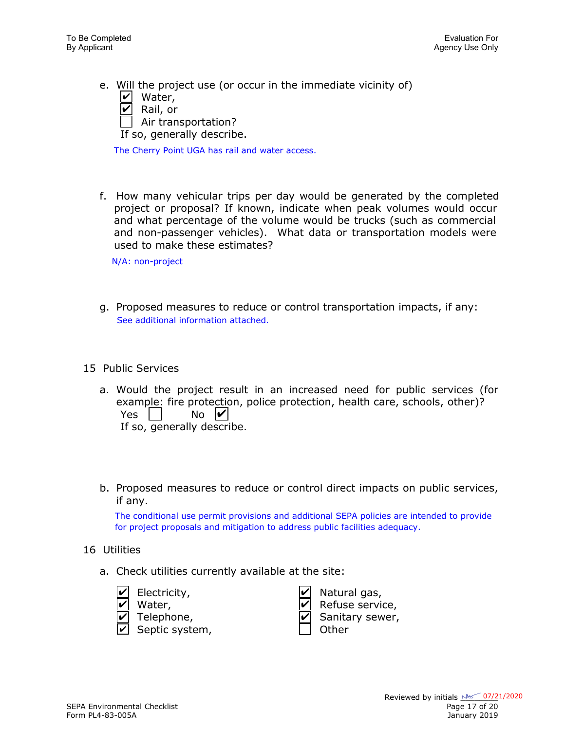e. Will the project use (or occur in the immediate vicinity of)  $\angle$  Water,  $\angle$  Rail, or Air transportation?

If so, generally describe.

The Cherry Point UGA has rail and water access.

f. How many vehicular trips per day would be generated by the completed project or proposal? If known, indicate when peak volumes would occur and what percentage of the volume would be trucks (such as commercial and non-passenger vehicles). What data or transportation models were used to make these estimates?

N/A: non-project

- g. Proposed measures to reduce or control transportation impacts, if any: See additional information attached.
- 15 Public Services
	- a. Would the project result in an increased need for public services (for example: fire protection, police protection, health care, schools, other)? Yes  $\vert \ \vert$ If so, generally describe.  $\overline{N}$   $\overline{V}$
	- b. Proposed measures to reduce or control direct impacts on public services, if any.

The conditional use permit provisions and additional SEPA policies are intended to provide for project proposals and mitigation to address public facilities adequacy.

- 16 Utilities
	- a. Check utilities currently available at the site:
		- Natural gas, Refuse service, Sanitary sewer, Septic system, and a position of the Septic system, Electricity, Water, Telephone, ✔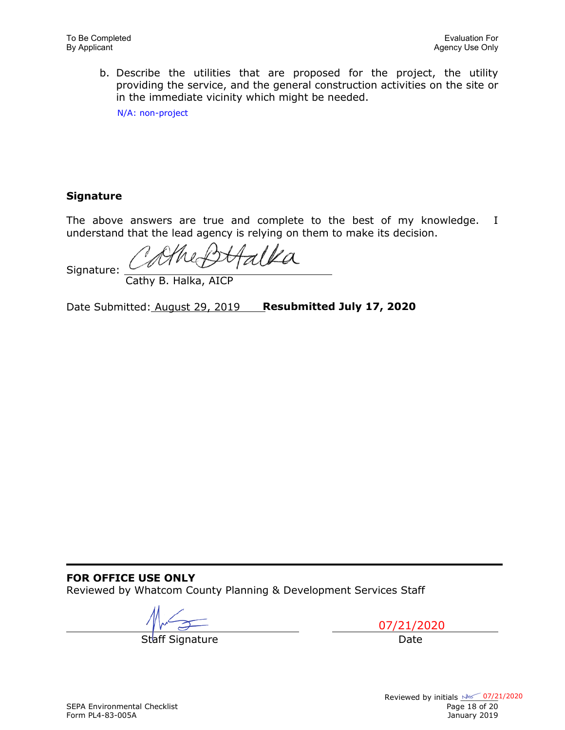b. Describe the utilities that are proposed for the project, the utility providing the service, and the general construction activities on the site or in the immediate vicinity which might be needed.

N/A: non-project

### **Signature**

The above answers are true and complete to the best of my knowledge. I understand that the lead agency is relying on them to make its decision.

 $a$ lla

Signature:

Cathy B. Halka, AICP

Date Submitted: August 29, 2019 **Resubmitted July 17, 2020**

### **FOR OFFICE USE ONLY**

Reviewed by Whatcom County Planning & Development Services Staff

Staff Signature **Date** 

07/21/2020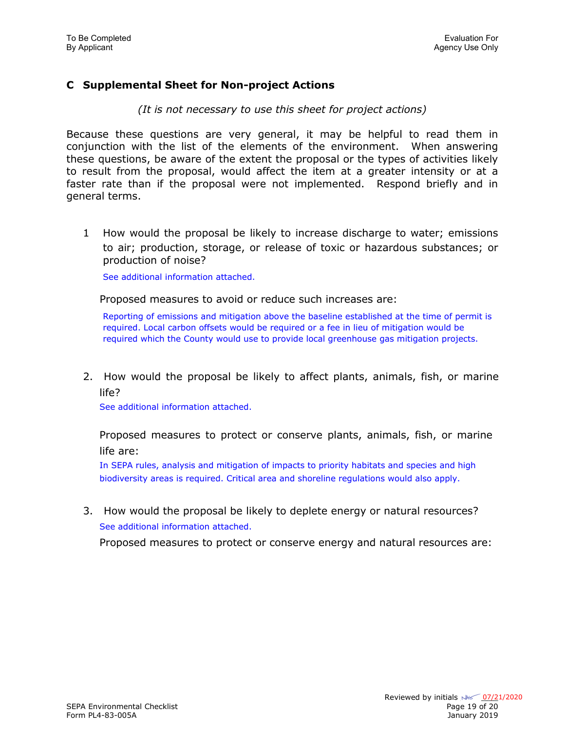### **C Supplemental Sheet for Non-project Actions**

*(It is not necessary to use this sheet for project actions)*

Because these questions are very general, it may be helpful to read them in conjunction with the list of the elements of the environment. When answering these questions, be aware of the extent the proposal or the types of activities likely to result from the proposal, would affect the item at a greater intensity or at a faster rate than if the proposal were not implemented. Respond briefly and in general terms.

1 How would the proposal be likely to increase discharge to water; emissions to air; production, storage, or release of toxic or hazardous substances; or production of noise?

See additional information attached.

Proposed measures to avoid or reduce such increases are:

Reporting of emissions and mitigation above the baseline established at the time of permit is required. Local carbon offsets would be required or a fee in lieu of mitigation would be required which the County would use to provide local greenhouse gas mitigation projects.

2. How would the proposal be likely to affect plants, animals, fish, or marine life?

See additional information attached.

Proposed measures to protect or conserve plants, animals, fish, or marine life are:

In SEPA rules, analysis and mitigation of impacts to priority habitats and species and high biodiversity areas is required. Critical area and shoreline regulations would also apply.

3. How would the proposal be likely to deplete energy or natural resources? See additional information attached.

Proposed measures to protect or conserve energy and natural resources are: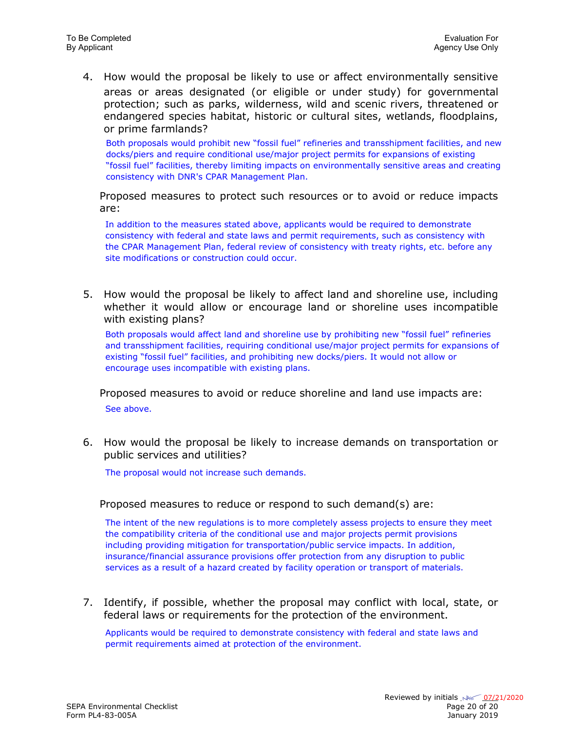4. How would the proposal be likely to use or affect environmentally sensitive areas or areas designated (or eligible or under study) for governmental protection; such as parks, wilderness, wild and scenic rivers, threatened or endangered species habitat, historic or cultural sites, wetlands, floodplains, or prime farmlands?

Both proposals would prohibit new "fossil fuel" refineries and transshipment facilities, and new docks/piers and require conditional use/major project permits for expansions of existing "fossil fuel" facilities, thereby limiting impacts on environmentally sensitive areas and creating consistency with DNR's CPAR Management Plan.

Proposed measures to protect such resources or to avoid or reduce impacts are:

In addition to the measures stated above, applicants would be required to demonstrate consistency with federal and state laws and permit requirements, such as consistency with the CPAR Management Plan, federal review of consistency with treaty rights, etc. before any site modifications or construction could occur.

5. How would the proposal be likely to affect land and shoreline use, including whether it would allow or encourage land or shoreline uses incompatible with existing plans?

Both proposals would affect land and shoreline use by prohibiting new "fossil fuel" refineries and transshipment facilities, requiring conditional use/major project permits for expansions of existing "fossil fuel" facilities, and prohibiting new docks/piers. It would not allow or encourage uses incompatible with existing plans.

Proposed measures to avoid or reduce shoreline and land use impacts are: See above.

6. How would the proposal be likely to increase demands on transportation or public services and utilities?

The proposal would not increase such demands.

Proposed measures to reduce or respond to such demand(s) are:

The intent of the new regulations is to more completely assess projects to ensure they meet the compatibility criteria of the conditional use and major projects permit provisions including providing mitigation for transportation/public service impacts. In addition, insurance/financial assurance provisions offer protection from any disruption to public services as a result of a hazard created by facility operation or transport of materials.

7. Identify, if possible, whether the proposal may conflict with local, state, or federal laws or requirements for the protection of the environment.

Applicants would be required to demonstrate consistency with federal and state laws and permit requirements aimed at protection of the environment.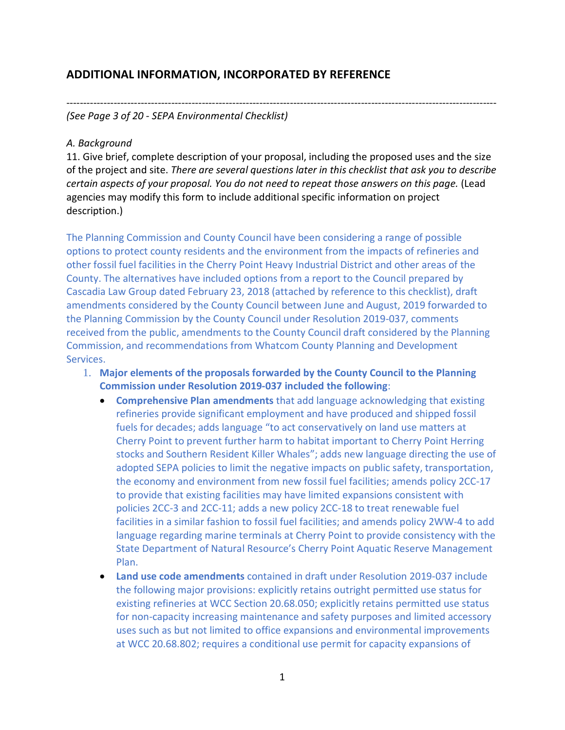## **ADDITIONAL INFORMATION, INCORPORATED BY REFERENCE**

------------------------------------------------------------------------------------------------------------------------------- *(See Page 3 of 20 - SEPA Environmental Checklist)* 

### *A. Background*

11. Give brief, complete description of your proposal, including the proposed uses and the size of the project and site. *There are several questions later in this checklist that ask you to describe certain aspects of your proposal. You do not need to repeat those answers on this page.* (Lead agencies may modify this form to include additional specific information on project description.)

The Planning Commission and County Council have been considering a range of possible options to protect county residents and the environment from the impacts of refineries and other fossil fuel facilities in the Cherry Point Heavy Industrial District and other areas of the County. The alternatives have included options from a report to the Council prepared by Cascadia Law Group dated February 23, 2018 (attached by reference to this checklist), draft amendments considered by the County Council between June and August, 2019 forwarded to the Planning Commission by the County Council under Resolution 2019-037, comments received from the public, amendments to the County Council draft considered by the Planning Commission, and recommendations from Whatcom County Planning and Development Services.

- 1. **Major elements of the proposals forwarded by the County Council to the Planning Commission under Resolution 2019-037 included the following**:
	- **Comprehensive Plan amendments** that add language acknowledging that existing refineries provide significant employment and have produced and shipped fossil fuels for decades; adds language "to act conservatively on land use matters at Cherry Point to prevent further harm to habitat important to Cherry Point Herring stocks and Southern Resident Killer Whales"; adds new language directing the use of adopted SEPA policies to limit the negative impacts on public safety, transportation, the economy and environment from new fossil fuel facilities; amends policy 2CC-17 to provide that existing facilities may have limited expansions consistent with policies 2CC-3 and 2CC-11; adds a new policy 2CC-18 to treat renewable fuel facilities in a similar fashion to fossil fuel facilities; and amends policy 2WW-4 to add language regarding marine terminals at Cherry Point to provide consistency with the State Department of Natural Resource's Cherry Point Aquatic Reserve Management Plan.
	- **Land use code amendments** contained in draft under Resolution 2019-037 include the following major provisions: explicitly retains outright permitted use status for existing refineries at WCC Section 20.68.050; explicitly retains permitted use status for non-capacity increasing maintenance and safety purposes and limited accessory uses such as but not limited to office expansions and environmental improvements at WCC 20.68.802; requires a conditional use permit for capacity expansions of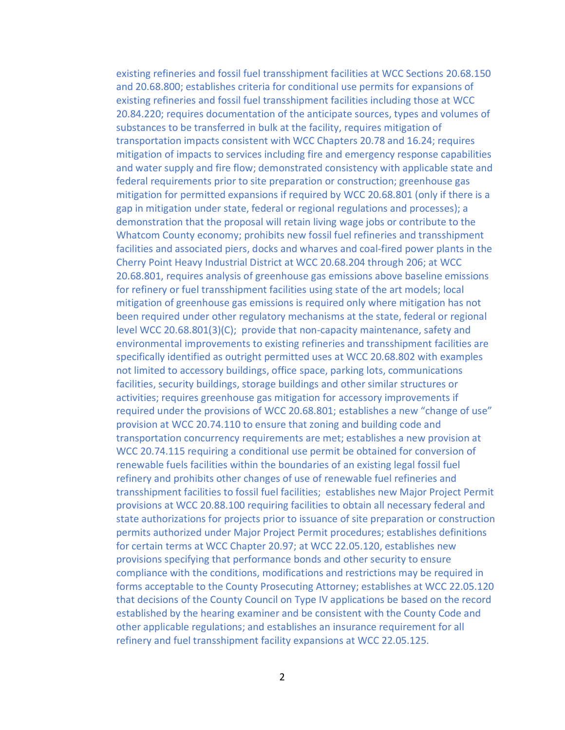existing refineries and fossil fuel transshipment facilities at WCC Sections 20.68.150 and 20.68.800; establishes criteria for conditional use permits for expansions of existing refineries and fossil fuel transshipment facilities including those at WCC 20.84.220; requires documentation of the anticipate sources, types and volumes of substances to be transferred in bulk at the facility, requires mitigation of transportation impacts consistent with WCC Chapters 20.78 and 16.24; requires mitigation of impacts to services including fire and emergency response capabilities and water supply and fire flow; demonstrated consistency with applicable state and federal requirements prior to site preparation or construction; greenhouse gas mitigation for permitted expansions if required by WCC 20.68.801 (only if there is a gap in mitigation under state, federal or regional regulations and processes); a demonstration that the proposal will retain living wage jobs or contribute to the Whatcom County economy; prohibits new fossil fuel refineries and transshipment facilities and associated piers, docks and wharves and coal-fired power plants in the Cherry Point Heavy Industrial District at WCC 20.68.204 through 206; at WCC 20.68.801, requires analysis of greenhouse gas emissions above baseline emissions for refinery or fuel transshipment facilities using state of the art models; local mitigation of greenhouse gas emissions is required only where mitigation has not been required under other regulatory mechanisms at the state, federal or regional level WCC 20.68.801(3)(C); provide that non-capacity maintenance, safety and environmental improvements to existing refineries and transshipment facilities are specifically identified as outright permitted uses at WCC 20.68.802 with examples not limited to accessory buildings, office space, parking lots, communications facilities, security buildings, storage buildings and other similar structures or activities; requires greenhouse gas mitigation for accessory improvements if required under the provisions of WCC 20.68.801; establishes a new "change of use" provision at WCC 20.74.110 to ensure that zoning and building code and transportation concurrency requirements are met; establishes a new provision at WCC 20.74.115 requiring a conditional use permit be obtained for conversion of renewable fuels facilities within the boundaries of an existing legal fossil fuel refinery and prohibits other changes of use of renewable fuel refineries and transshipment facilities to fossil fuel facilities; establishes new Major Project Permit provisions at WCC 20.88.100 requiring facilities to obtain all necessary federal and state authorizations for projects prior to issuance of site preparation or construction permits authorized under Major Project Permit procedures; establishes definitions for certain terms at WCC Chapter 20.97; at WCC 22.05.120, establishes new provisions specifying that performance bonds and other security to ensure compliance with the conditions, modifications and restrictions may be required in forms acceptable to the County Prosecuting Attorney; establishes at WCC 22.05.120 that decisions of the County Council on Type IV applications be based on the record established by the hearing examiner and be consistent with the County Code and other applicable regulations; and establishes an insurance requirement for all refinery and fuel transshipment facility expansions at WCC 22.05.125.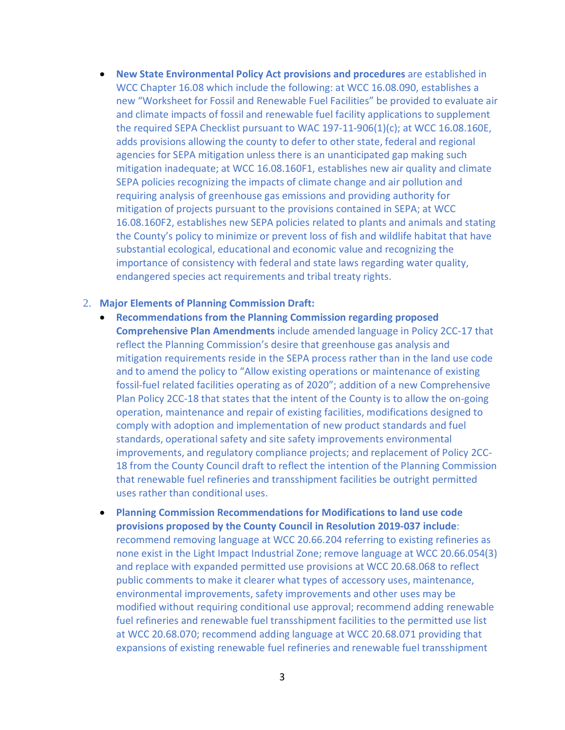• **New State Environmental Policy Act provisions and procedures** are established in WCC Chapter 16.08 which include the following: at WCC 16.08.090, establishes a new "Worksheet for Fossil and Renewable Fuel Facilities" be provided to evaluate air and climate impacts of fossil and renewable fuel facility applications to supplement the required SEPA Checklist pursuant to WAC 197-11-906(1)(c); at WCC 16.08.160E, adds provisions allowing the county to defer to other state, federal and regional agencies for SEPA mitigation unless there is an unanticipated gap making such mitigation inadequate; at WCC 16.08.160F1, establishes new air quality and climate SEPA policies recognizing the impacts of climate change and air pollution and requiring analysis of greenhouse gas emissions and providing authority for mitigation of projects pursuant to the provisions contained in SEPA; at WCC 16.08.160F2, establishes new SEPA policies related to plants and animals and stating the County's policy to minimize or prevent loss of fish and wildlife habitat that have substantial ecological, educational and economic value and recognizing the importance of consistency with federal and state laws regarding water quality, endangered species act requirements and tribal treaty rights.

#### 2. **Major Elements of Planning Commission Draft:**

- **Recommendations from the Planning Commission regarding proposed Comprehensive Plan Amendments** include amended language in Policy 2CC-17 that reflect the Planning Commission's desire that greenhouse gas analysis and mitigation requirements reside in the SEPA process rather than in the land use code and to amend the policy to "Allow existing operations or maintenance of existing fossil-fuel related facilities operating as of 2020"; addition of a new Comprehensive Plan Policy 2CC-18 that states that the intent of the County is to allow the on-going operation, maintenance and repair of existing facilities, modifications designed to comply with adoption and implementation of new product standards and fuel standards, operational safety and site safety improvements environmental improvements, and regulatory compliance projects; and replacement of Policy 2CC-18 from the County Council draft to reflect the intention of the Planning Commission that renewable fuel refineries and transshipment facilities be outright permitted uses rather than conditional uses.
- **Planning Commission Recommendations for Modifications to land use code provisions proposed by the County Council in Resolution 2019-037 include**: recommend removing language at WCC 20.66.204 referring to existing refineries as none exist in the Light Impact Industrial Zone; remove language at WCC 20.66.054(3) and replace with expanded permitted use provisions at WCC 20.68.068 to reflect public comments to make it clearer what types of accessory uses, maintenance, environmental improvements, safety improvements and other uses may be modified without requiring conditional use approval; recommend adding renewable fuel refineries and renewable fuel transshipment facilities to the permitted use list at WCC 20.68.070; recommend adding language at WCC 20.68.071 providing that expansions of existing renewable fuel refineries and renewable fuel transshipment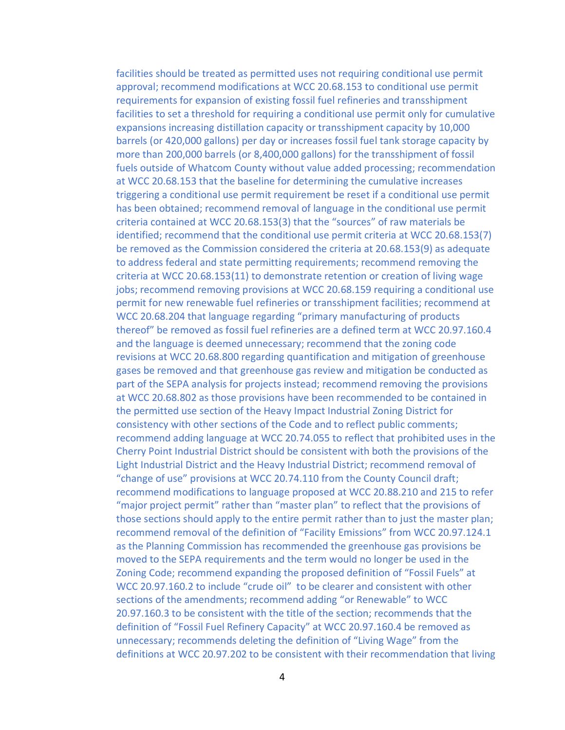facilities should be treated as permitted uses not requiring conditional use permit approval; recommend modifications at WCC 20.68.153 to conditional use permit requirements for expansion of existing fossil fuel refineries and transshipment facilities to set a threshold for requiring a conditional use permit only for cumulative expansions increasing distillation capacity or transshipment capacity by 10,000 barrels (or 420,000 gallons) per day or increases fossil fuel tank storage capacity by more than 200,000 barrels (or 8,400,000 gallons) for the transshipment of fossil fuels outside of Whatcom County without value added processing; recommendation at WCC 20.68.153 that the baseline for determining the cumulative increases triggering a conditional use permit requirement be reset if a conditional use permit has been obtained; recommend removal of language in the conditional use permit criteria contained at WCC 20.68.153(3) that the "sources" of raw materials be identified; recommend that the conditional use permit criteria at WCC 20.68.153(7) be removed as the Commission considered the criteria at 20.68.153(9) as adequate to address federal and state permitting requirements; recommend removing the criteria at WCC 20.68.153(11) to demonstrate retention or creation of living wage jobs; recommend removing provisions at WCC 20.68.159 requiring a conditional use permit for new renewable fuel refineries or transshipment facilities; recommend at WCC 20.68.204 that language regarding "primary manufacturing of products thereof" be removed as fossil fuel refineries are a defined term at WCC 20.97.160.4 and the language is deemed unnecessary; recommend that the zoning code revisions at WCC 20.68.800 regarding quantification and mitigation of greenhouse gases be removed and that greenhouse gas review and mitigation be conducted as part of the SEPA analysis for projects instead; recommend removing the provisions at WCC 20.68.802 as those provisions have been recommended to be contained in the permitted use section of the Heavy Impact Industrial Zoning District for consistency with other sections of the Code and to reflect public comments; recommend adding language at WCC 20.74.055 to reflect that prohibited uses in the Cherry Point Industrial District should be consistent with both the provisions of the Light Industrial District and the Heavy Industrial District; recommend removal of "change of use" provisions at WCC 20.74.110 from the County Council draft; recommend modifications to language proposed at WCC 20.88.210 and 215 to refer "major project permit" rather than "master plan" to reflect that the provisions of those sections should apply to the entire permit rather than to just the master plan; recommend removal of the definition of "Facility Emissions" from WCC 20.97.124.1 as the Planning Commission has recommended the greenhouse gas provisions be moved to the SEPA requirements and the term would no longer be used in the Zoning Code; recommend expanding the proposed definition of "Fossil Fuels" at WCC 20.97.160.2 to include "crude oil" to be clearer and consistent with other sections of the amendments; recommend adding "or Renewable" to WCC 20.97.160.3 to be consistent with the title of the section; recommends that the definition of "Fossil Fuel Refinery Capacity" at WCC 20.97.160.4 be removed as unnecessary; recommends deleting the definition of "Living Wage" from the definitions at WCC 20.97.202 to be consistent with their recommendation that living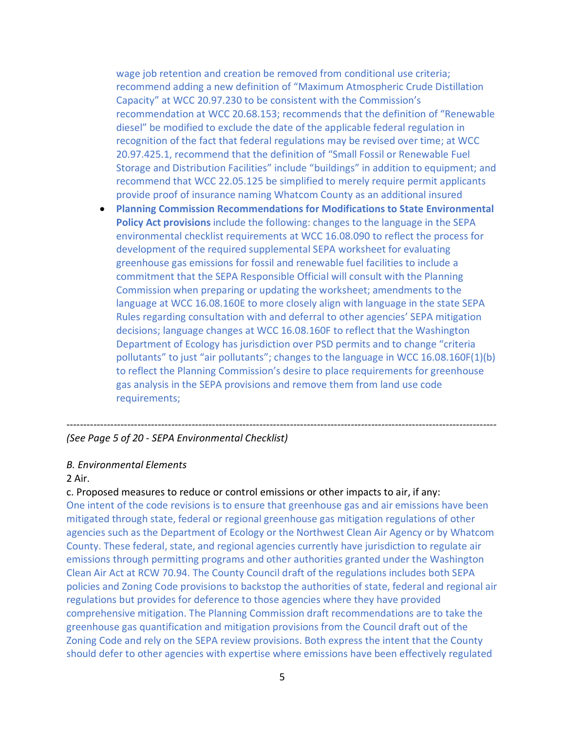wage job retention and creation be removed from conditional use criteria; recommend adding a new definition of "Maximum Atmospheric Crude Distillation Capacity" at WCC 20.97.230 to be consistent with the Commission's recommendation at WCC 20.68.153; recommends that the definition of "Renewable diesel" be modified to exclude the date of the applicable federal regulation in recognition of the fact that federal regulations may be revised over time; at WCC 20.97.425.1, recommend that the definition of "Small Fossil or Renewable Fuel Storage and Distribution Facilities" include "buildings" in addition to equipment; and recommend that WCC 22.05.125 be simplified to merely require permit applicants provide proof of insurance naming Whatcom County as an additional insured

• **Planning Commission Recommendations for Modifications to State Environmental Policy Act provisions** include the following: changes to the language in the SEPA environmental checklist requirements at WCC 16.08.090 to reflect the process for development of the required supplemental SEPA worksheet for evaluating greenhouse gas emissions for fossil and renewable fuel facilities to include a commitment that the SEPA Responsible Official will consult with the Planning Commission when preparing or updating the worksheet; amendments to the language at WCC 16.08.160E to more closely align with language in the state SEPA Rules regarding consultation with and deferral to other agencies' SEPA mitigation decisions; language changes at WCC 16.08.160F to reflect that the Washington Department of Ecology has jurisdiction over PSD permits and to change "criteria pollutants" to just "air pollutants"; changes to the language in WCC 16.08.160F(1)(b) to reflect the Planning Commission's desire to place requirements for greenhouse gas analysis in the SEPA provisions and remove them from land use code requirements;

#### *(See Page 5 of 20 - SEPA Environmental Checklist)*

#### *B. Environmental Elements*

#### 2 Air.

#### c. Proposed measures to reduce or control emissions or other impacts to air, if any:

One intent of the code revisions is to ensure that greenhouse gas and air emissions have been mitigated through state, federal or regional greenhouse gas mitigation regulations of other agencies such as the Department of Ecology or the Northwest Clean Air Agency or by Whatcom County. These federal, state, and regional agencies currently have jurisdiction to regulate air emissions through permitting programs and other authorities granted under the Washington Clean Air Act at RCW 70.94. The County Council draft of the regulations includes both SEPA policies and Zoning Code provisions to backstop the authorities of state, federal and regional air regulations but provides for deference to those agencies where they have provided comprehensive mitigation. The Planning Commission draft recommendations are to take the greenhouse gas quantification and mitigation provisions from the Council draft out of the Zoning Code and rely on the SEPA review provisions. Both express the intent that the County should defer to other agencies with expertise where emissions have been effectively regulated

*-------------------------------------------------------------------------------------------------------------------------------*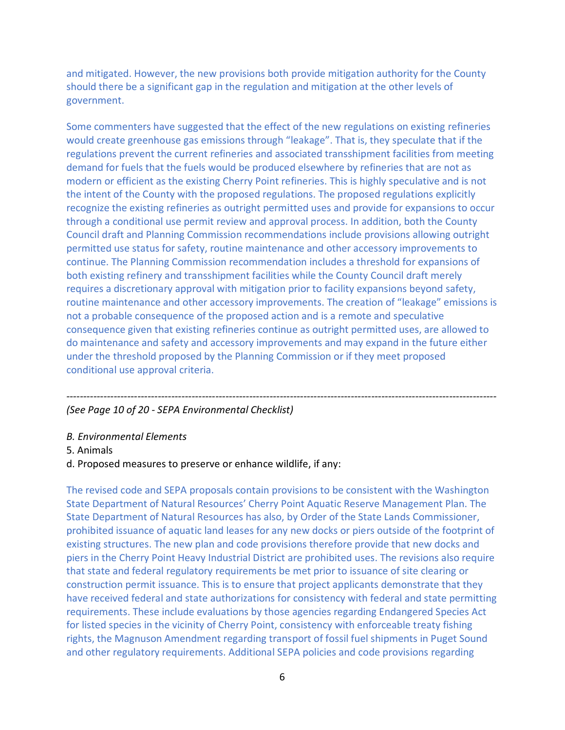and mitigated. However, the new provisions both provide mitigation authority for the County should there be a significant gap in the regulation and mitigation at the other levels of government.

Some commenters have suggested that the effect of the new regulations on existing refineries would create greenhouse gas emissions through "leakage". That is, they speculate that if the regulations prevent the current refineries and associated transshipment facilities from meeting demand for fuels that the fuels would be produced elsewhere by refineries that are not as modern or efficient as the existing Cherry Point refineries. This is highly speculative and is not the intent of the County with the proposed regulations. The proposed regulations explicitly recognize the existing refineries as outright permitted uses and provide for expansions to occur through a conditional use permit review and approval process. In addition, both the County Council draft and Planning Commission recommendations include provisions allowing outright permitted use status for safety, routine maintenance and other accessory improvements to continue. The Planning Commission recommendation includes a threshold for expansions of both existing refinery and transshipment facilities while the County Council draft merely requires a discretionary approval with mitigation prior to facility expansions beyond safety, routine maintenance and other accessory improvements. The creation of "leakage" emissions is not a probable consequence of the proposed action and is a remote and speculative consequence given that existing refineries continue as outright permitted uses, are allowed to do maintenance and safety and accessory improvements and may expand in the future either under the threshold proposed by the Planning Commission or if they meet proposed conditional use approval criteria.

*-------------------------------------------------------------------------------------------------------------------------------*

### *(See Page 10 of 20 - SEPA Environmental Checklist)*

- *B. Environmental Elements*
- 5. Animals

### d. Proposed measures to preserve or enhance wildlife, if any:

The revised code and SEPA proposals contain provisions to be consistent with the Washington State Department of Natural Resources' Cherry Point Aquatic Reserve Management Plan. The State Department of Natural Resources has also, by Order of the State Lands Commissioner, prohibited issuance of aquatic land leases for any new docks or piers outside of the footprint of existing structures. The new plan and code provisions therefore provide that new docks and piers in the Cherry Point Heavy Industrial District are prohibited uses. The revisions also require that state and federal regulatory requirements be met prior to issuance of site clearing or construction permit issuance. This is to ensure that project applicants demonstrate that they have received federal and state authorizations for consistency with federal and state permitting requirements. These include evaluations by those agencies regarding Endangered Species Act for listed species in the vicinity of Cherry Point, consistency with enforceable treaty fishing rights, the Magnuson Amendment regarding transport of fossil fuel shipments in Puget Sound and other regulatory requirements. Additional SEPA policies and code provisions regarding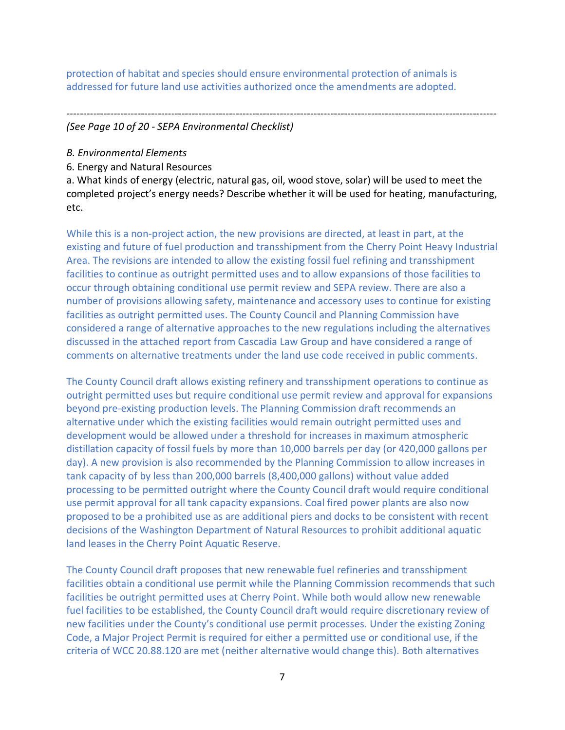protection of habitat and species should ensure environmental protection of animals is addressed for future land use activities authorized once the amendments are adopted.

*-------------------------------------------------------------------------------------------------------------------------------*

*(See Page 10 of 20 - SEPA Environmental Checklist)*

- *B. Environmental Elements*
- 6. Energy and Natural Resources

a. What kinds of energy (electric, natural gas, oil, wood stove, solar) will be used to meet the completed project's energy needs? Describe whether it will be used for heating, manufacturing, etc.

While this is a non-project action, the new provisions are directed, at least in part, at the existing and future of fuel production and transshipment from the Cherry Point Heavy Industrial Area. The revisions are intended to allow the existing fossil fuel refining and transshipment facilities to continue as outright permitted uses and to allow expansions of those facilities to occur through obtaining conditional use permit review and SEPA review. There are also a number of provisions allowing safety, maintenance and accessory uses to continue for existing facilities as outright permitted uses. The County Council and Planning Commission have considered a range of alternative approaches to the new regulations including the alternatives discussed in the attached report from Cascadia Law Group and have considered a range of comments on alternative treatments under the land use code received in public comments.

The County Council draft allows existing refinery and transshipment operations to continue as outright permitted uses but require conditional use permit review and approval for expansions beyond pre-existing production levels. The Planning Commission draft recommends an alternative under which the existing facilities would remain outright permitted uses and development would be allowed under a threshold for increases in maximum atmospheric distillation capacity of fossil fuels by more than 10,000 barrels per day (or 420,000 gallons per day). A new provision is also recommended by the Planning Commission to allow increases in tank capacity of by less than 200,000 barrels (8,400,000 gallons) without value added processing to be permitted outright where the County Council draft would require conditional use permit approval for all tank capacity expansions. Coal fired power plants are also now proposed to be a prohibited use as are additional piers and docks to be consistent with recent decisions of the Washington Department of Natural Resources to prohibit additional aquatic land leases in the Cherry Point Aquatic Reserve.

The County Council draft proposes that new renewable fuel refineries and transshipment facilities obtain a conditional use permit while the Planning Commission recommends that such facilities be outright permitted uses at Cherry Point. While both would allow new renewable fuel facilities to be established, the County Council draft would require discretionary review of new facilities under the County's conditional use permit processes. Under the existing Zoning Code, a Major Project Permit is required for either a permitted use or conditional use, if the criteria of WCC 20.88.120 are met (neither alternative would change this). Both alternatives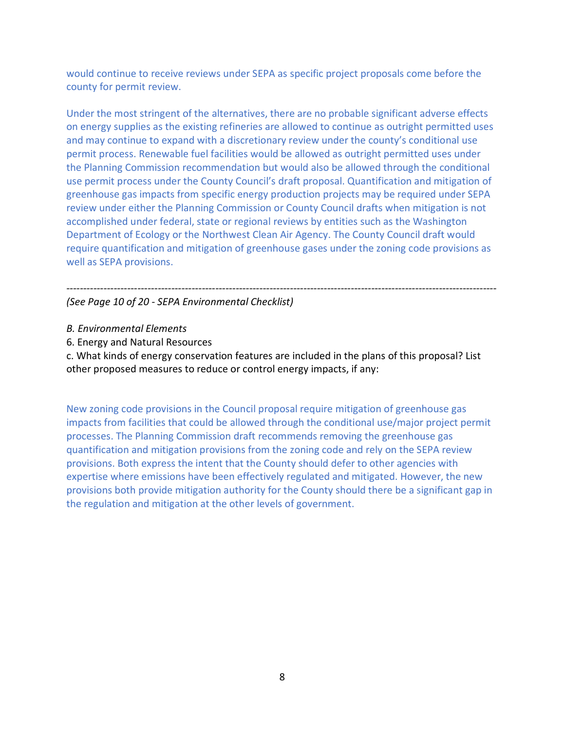would continue to receive reviews under SEPA as specific project proposals come before the county for permit review.

Under the most stringent of the alternatives, there are no probable significant adverse effects on energy supplies as the existing refineries are allowed to continue as outright permitted uses and may continue to expand with a discretionary review under the county's conditional use permit process. Renewable fuel facilities would be allowed as outright permitted uses under the Planning Commission recommendation but would also be allowed through the conditional use permit process under the County Council's draft proposal. Quantification and mitigation of greenhouse gas impacts from specific energy production projects may be required under SEPA review under either the Planning Commission or County Council drafts when mitigation is not accomplished under federal, state or regional reviews by entities such as the Washington Department of Ecology or the Northwest Clean Air Agency. The County Council draft would require quantification and mitigation of greenhouse gases under the zoning code provisions as well as SEPA provisions.

*------------------------------------------------------------------------------------------------------------------------------- (See Page 10 of 20 - SEPA Environmental Checklist)*

- *B. Environmental Elements*
- 6. Energy and Natural Resources

c. What kinds of energy conservation features are included in the plans of this proposal? List other proposed measures to reduce or control energy impacts, if any:

New zoning code provisions in the Council proposal require mitigation of greenhouse gas impacts from facilities that could be allowed through the conditional use/major project permit processes. The Planning Commission draft recommends removing the greenhouse gas quantification and mitigation provisions from the zoning code and rely on the SEPA review provisions. Both express the intent that the County should defer to other agencies with expertise where emissions have been effectively regulated and mitigated. However, the new provisions both provide mitigation authority for the County should there be a significant gap in the regulation and mitigation at the other levels of government.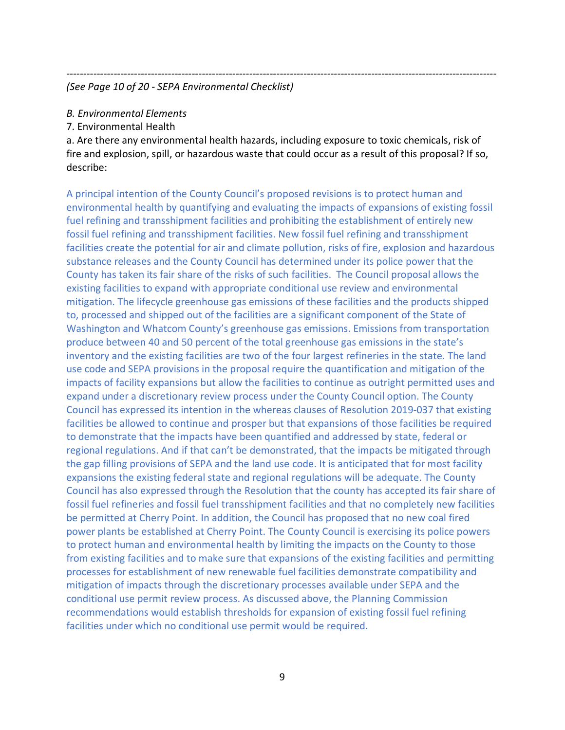#### *------------------------------------------------------------------------------------------------------------------------------- (See Page 10 of 20 - SEPA Environmental Checklist)*

### *B. Environmental Elements*

7. Environmental Health

a. Are there any environmental health hazards, including exposure to toxic chemicals, risk of fire and explosion, spill, or hazardous waste that could occur as a result of this proposal? If so, describe:

A principal intention of the County Council's proposed revisions is to protect human and environmental health by quantifying and evaluating the impacts of expansions of existing fossil fuel refining and transshipment facilities and prohibiting the establishment of entirely new fossil fuel refining and transshipment facilities. New fossil fuel refining and transshipment facilities create the potential for air and climate pollution, risks of fire, explosion and hazardous substance releases and the County Council has determined under its police power that the County has taken its fair share of the risks of such facilities. The Council proposal allows the existing facilities to expand with appropriate conditional use review and environmental mitigation. The lifecycle greenhouse gas emissions of these facilities and the products shipped to, processed and shipped out of the facilities are a significant component of the State of Washington and Whatcom County's greenhouse gas emissions. Emissions from transportation produce between 40 and 50 percent of the total greenhouse gas emissions in the state's inventory and the existing facilities are two of the four largest refineries in the state. The land use code and SEPA provisions in the proposal require the quantification and mitigation of the impacts of facility expansions but allow the facilities to continue as outright permitted uses and expand under a discretionary review process under the County Council option. The County Council has expressed its intention in the whereas clauses of Resolution 2019-037 that existing facilities be allowed to continue and prosper but that expansions of those facilities be required to demonstrate that the impacts have been quantified and addressed by state, federal or regional regulations. And if that can't be demonstrated, that the impacts be mitigated through the gap filling provisions of SEPA and the land use code. It is anticipated that for most facility expansions the existing federal state and regional regulations will be adequate. The County Council has also expressed through the Resolution that the county has accepted its fair share of fossil fuel refineries and fossil fuel transshipment facilities and that no completely new facilities be permitted at Cherry Point. In addition, the Council has proposed that no new coal fired power plants be established at Cherry Point. The County Council is exercising its police powers to protect human and environmental health by limiting the impacts on the County to those from existing facilities and to make sure that expansions of the existing facilities and permitting processes for establishment of new renewable fuel facilities demonstrate compatibility and mitigation of impacts through the discretionary processes available under SEPA and the conditional use permit review process. As discussed above, the Planning Commission recommendations would establish thresholds for expansion of existing fossil fuel refining facilities under which no conditional use permit would be required.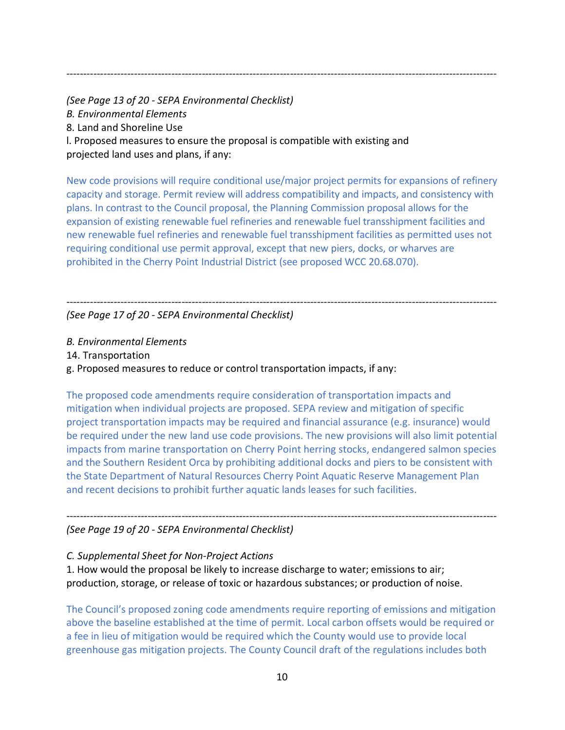*(See Page 13 of 20 - SEPA Environmental Checklist) B. Environmental Elements* 8. Land and Shoreline Use l. Proposed measures to ensure the proposal is compatible with existing and projected land uses and plans, if any:

New code provisions will require conditional use/major project permits for expansions of refinery capacity and storage. Permit review will address compatibility and impacts, and consistency with plans. In contrast to the Council proposal, the Planning Commission proposal allows for the expansion of existing renewable fuel refineries and renewable fuel transshipment facilities and new renewable fuel refineries and renewable fuel transshipment facilities as permitted uses not requiring conditional use permit approval, except that new piers, docks, or wharves are prohibited in the Cherry Point Industrial District (see proposed WCC 20.68.070).

*-------------------------------------------------------------------------------------------------------------------------------*

*------------------------------------------------------------------------------------------------------------------------------- (See Page 17 of 20 - SEPA Environmental Checklist)*

*B. Environmental Elements*

14. Transportation

g. Proposed measures to reduce or control transportation impacts, if any:

The proposed code amendments require consideration of transportation impacts and mitigation when individual projects are proposed. SEPA review and mitigation of specific project transportation impacts may be required and financial assurance (e.g. insurance) would be required under the new land use code provisions. The new provisions will also limit potential impacts from marine transportation on Cherry Point herring stocks, endangered salmon species and the Southern Resident Orca by prohibiting additional docks and piers to be consistent with the State Department of Natural Resources Cherry Point Aquatic Reserve Management Plan and recent decisions to prohibit further aquatic lands leases for such facilities.

*------------------------------------------------------------------------------------------------------------------------------- (See Page 19 of 20 - SEPA Environmental Checklist)*

*C. Supplemental Sheet for Non-Project Actions*

1. How would the proposal be likely to increase discharge to water; emissions to air; production, storage, or release of toxic or hazardous substances; or production of noise.

The Council's proposed zoning code amendments require reporting of emissions and mitigation above the baseline established at the time of permit. Local carbon offsets would be required or a fee in lieu of mitigation would be required which the County would use to provide local greenhouse gas mitigation projects. The County Council draft of the regulations includes both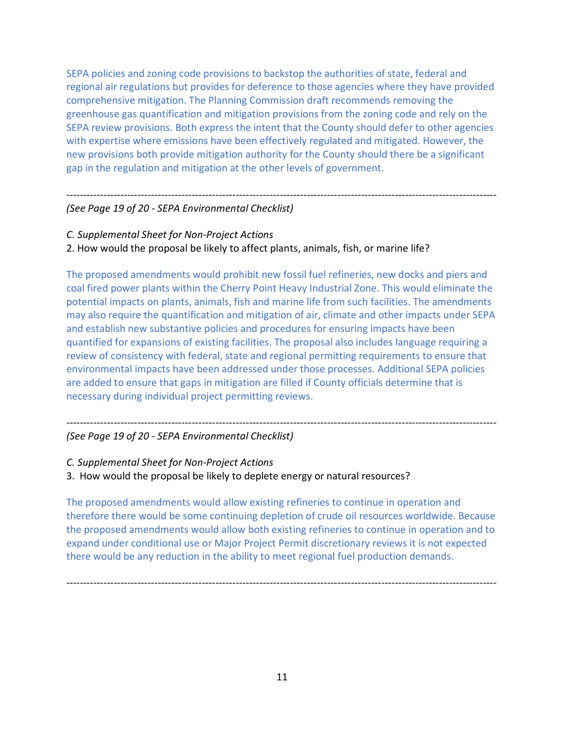SEPA policies and zoning code provisions to backstop the authorities of state, federal and regional air regulations but provides for deference to those agencies where they have provided comprehensive mitigation. The Planning Commission draft recommends removing the greenhouse gas quantification and mitigation provisions from the zoning code and rely on the SEPA review provisions. Both express the intent that the County should defer to other agencies with expertise where emissions have been effectively regulated and mitigated. However, the new provisions both provide mitigation authority for the County should there be a significant gap in the regulation and mitigation at the other levels of government.

#### *------------------------------------------------------------------------------------------------------------------------------- (See Page 19 of 20 - SEPA Environmental Checklist)*

- *C. Supplemental Sheet for Non-Project Actions*
- 2. How would the proposal be likely to affect plants, animals, fish, or marine life?

The proposed amendments would prohibit new fossil fuel refineries, new docks and piers and coal fired power plants within the Cherry Point Heavy Industrial Zone. This would eliminate the potential impacts on plants, animals, fish and marine life from such facilities. The amendments may also require the quantification and mitigation of air, climate and other impacts under SEPA and establish new substantive policies and procedures for ensuring impacts have been quantified for expansions of existing facilities. The proposal also includes language requiring a review of consistency with federal, state and regional permitting requirements to ensure that environmental impacts have been addressed under those processes. Additional SEPA policies are added to ensure that gaps in mitigation are filled if County officials determine that is necessary during individual project permitting reviews.

*-------------------------------------------------------------------------------------------------------------------------------*

### *(See Page 19 of 20 - SEPA Environmental Checklist)*

- *C. Supplemental Sheet for Non-Project Actions*
- 3. How would the proposal be likely to deplete energy or natural resources?

The proposed amendments would allow existing refineries to continue in operation and therefore there would be some continuing depletion of crude oil resources worldwide. Because the proposed amendments would allow both existing refineries to continue in operation and to expand under conditional use or Major Project Permit discretionary reviews it is not expected there would be any reduction in the ability to meet regional fuel production demands.

*-------------------------------------------------------------------------------------------------------------------------------*